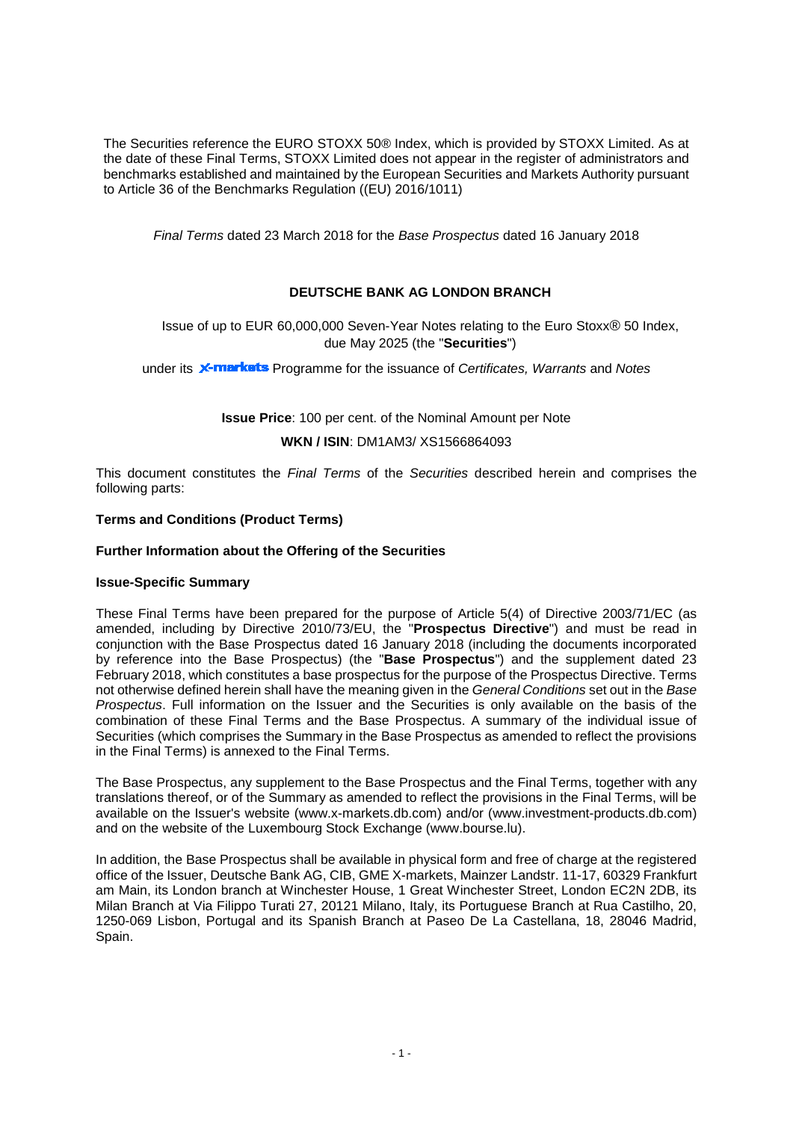The Securities reference the EURO STOXX 50® Index, which is provided by STOXX Limited. As at the date of these Final Terms, STOXX Limited does not appear in the register of administrators and benchmarks established and maintained by the European Securities and Markets Authority pursuant to Article 36 of the Benchmarks Regulation ((EU) 2016/1011)

*Final Terms* dated 23 March 2018 for the *Base Prospectus* dated 16 January 2018

## **DEUTSCHE BANK AG LONDON BRANCH**

Issue of up to EUR 60,000,000 Seven-Year Notes relating to the Euro Stoxx® 50 Index, due May 2025 (the "**Securities**")

under its **X-markets** Programme for the issuance of *Certificates, Warrants* and *Notes* 

**Issue Price**: 100 per cent. of the Nominal Amount per Note

**WKN / ISIN**: DM1AM3/ XS1566864093

This document constitutes the *Final Terms* of the *Securities* described herein and comprises the following parts:

#### **Terms and Conditions (Product Terms)**

#### **Further Information about the Offering of the Securities**

#### **Issue-Specific Summary**

These Final Terms have been prepared for the purpose of Article 5(4) of Directive 2003/71/EC (as amended, including by Directive 2010/73/EU, the "**Prospectus Directive**") and must be read in conjunction with the Base Prospectus dated 16 January 2018 (including the documents incorporated by reference into the Base Prospectus) (the "**Base Prospectus**") and the supplement dated 23 February 2018, which constitutes a base prospectus for the purpose of the Prospectus Directive. Terms not otherwise defined herein shall have the meaning given in the *General Conditions* set out in the *Base Prospectus*. Full information on the Issuer and the Securities is only available on the basis of the combination of these Final Terms and the Base Prospectus. A summary of the individual issue of Securities (which comprises the Summary in the Base Prospectus as amended to reflect the provisions in the Final Terms) is annexed to the Final Terms.

The Base Prospectus, any supplement to the Base Prospectus and the Final Terms, together with any translations thereof, or of the Summary as amended to reflect the provisions in the Final Terms, will be available on the Issuer's website (www.x-markets.db.com) and/or (www.investment-products.db.com) and on the website of the Luxembourg Stock Exchange (www.bourse.lu).

In addition, the Base Prospectus shall be available in physical form and free of charge at the registered office of the Issuer, Deutsche Bank AG, CIB, GME X-markets, Mainzer Landstr. 11-17, 60329 Frankfurt am Main, its London branch at Winchester House, 1 Great Winchester Street, London EC2N 2DB, its Milan Branch at Via Filippo Turati 27, 20121 Milano, Italy, its Portuguese Branch at Rua Castilho, 20, 1250-069 Lisbon, Portugal and its Spanish Branch at Paseo De La Castellana, 18, 28046 Madrid, Spain.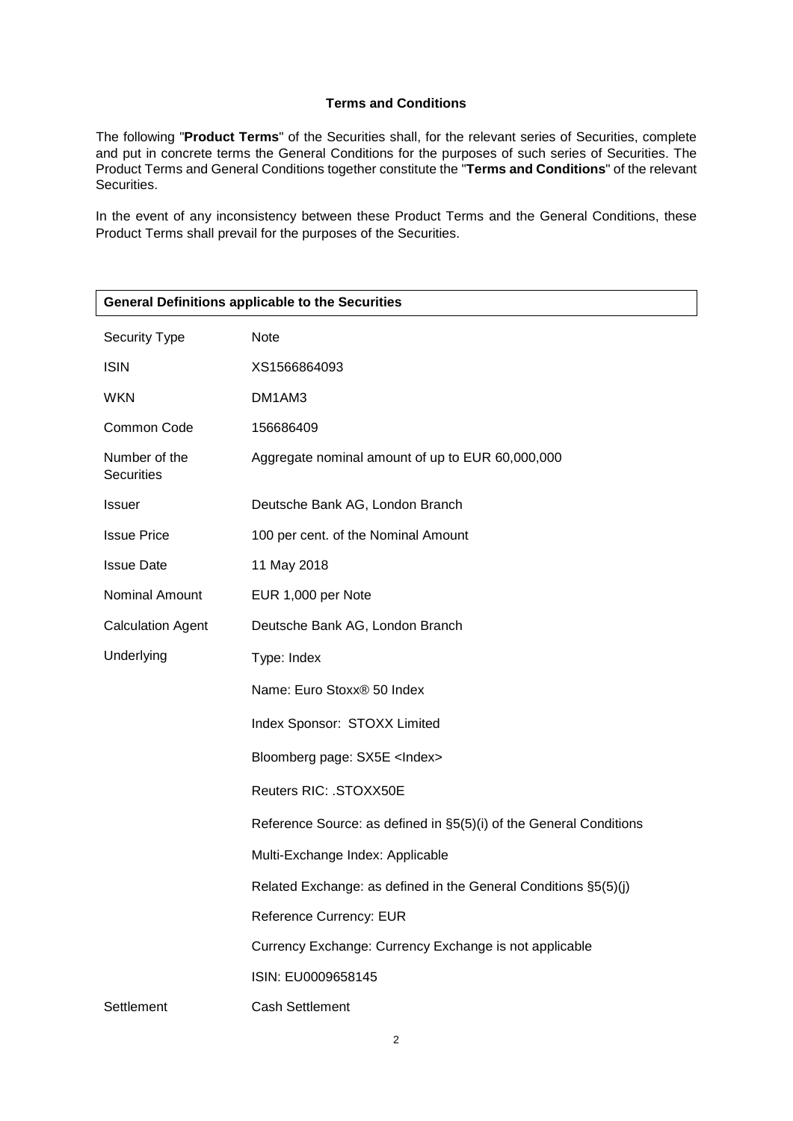## **Terms and Conditions**

The following "**Product Terms**" of the Securities shall, for the relevant series of Securities, complete and put in concrete terms the General Conditions for the purposes of such series of Securities. The Product Terms and General Conditions together constitute the "**Terms and Conditions**" of the relevant Securities.

In the event of any inconsistency between these Product Terms and the General Conditions, these Product Terms shall prevail for the purposes of the Securities.

| <b>General Definitions applicable to the Securities</b> |                                                                    |  |  |
|---------------------------------------------------------|--------------------------------------------------------------------|--|--|
| Security Type                                           | Note                                                               |  |  |
| <b>ISIN</b>                                             | XS1566864093                                                       |  |  |
| <b>WKN</b>                                              | DM1AM3                                                             |  |  |
| Common Code                                             | 156686409                                                          |  |  |
| Number of the<br><b>Securities</b>                      | Aggregate nominal amount of up to EUR 60,000,000                   |  |  |
| <b>Issuer</b>                                           | Deutsche Bank AG, London Branch                                    |  |  |
| <b>Issue Price</b>                                      | 100 per cent. of the Nominal Amount                                |  |  |
| <b>Issue Date</b>                                       | 11 May 2018                                                        |  |  |
| Nominal Amount                                          | EUR 1,000 per Note                                                 |  |  |
| <b>Calculation Agent</b>                                | Deutsche Bank AG, London Branch                                    |  |  |
| Underlying                                              | Type: Index                                                        |  |  |
|                                                         | Name: Euro Stoxx® 50 Index                                         |  |  |
|                                                         | Index Sponsor: STOXX Limited                                       |  |  |
|                                                         | Bloomberg page: SX5E <lndex></lndex>                               |  |  |
|                                                         | Reuters RIC: . STOXX50E                                            |  |  |
|                                                         | Reference Source: as defined in §5(5)(i) of the General Conditions |  |  |
|                                                         | Multi-Exchange Index: Applicable                                   |  |  |
|                                                         | Related Exchange: as defined in the General Conditions §5(5)(j)    |  |  |
|                                                         | Reference Currency: EUR                                            |  |  |
|                                                         | Currency Exchange: Currency Exchange is not applicable             |  |  |
|                                                         | ISIN: EU0009658145                                                 |  |  |
| Settlement                                              | <b>Cash Settlement</b>                                             |  |  |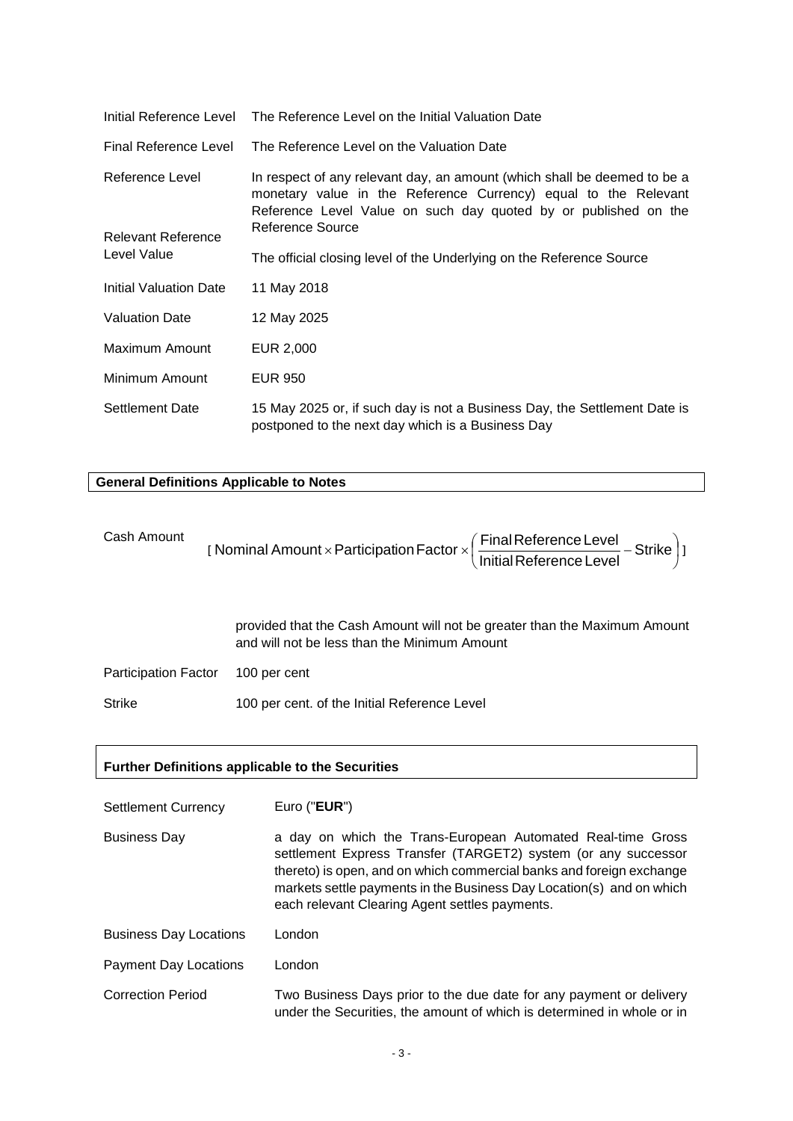|                                          | Initial Reference Level The Reference Level on the Initial Valuation Date                                                                                                                                                          |  |
|------------------------------------------|------------------------------------------------------------------------------------------------------------------------------------------------------------------------------------------------------------------------------------|--|
| Final Reference Level                    | The Reference Level on the Valuation Date                                                                                                                                                                                          |  |
| Reference Level                          | In respect of any relevant day, an amount (which shall be deemed to be a<br>monetary value in the Reference Currency) equal to the Relevant<br>Reference Level Value on such day quoted by or published on the<br>Reference Source |  |
| <b>Relevant Reference</b><br>Level Value | The official closing level of the Underlying on the Reference Source                                                                                                                                                               |  |
|                                          |                                                                                                                                                                                                                                    |  |
| Initial Valuation Date                   | 11 May 2018                                                                                                                                                                                                                        |  |
| <b>Valuation Date</b>                    | 12 May 2025                                                                                                                                                                                                                        |  |
| Maximum Amount                           | EUR 2,000                                                                                                                                                                                                                          |  |
| Minimum Amount                           | <b>EUR 950</b>                                                                                                                                                                                                                     |  |
| <b>Settlement Date</b>                   | 15 May 2025 or, if such day is not a Business Day, the Settlement Date is<br>postponed to the next day which is a Business Day                                                                                                     |  |

# **General Definitions Applicable to Notes**

| Cash Amount                 | [Nominal Amount × Participation Factor × $\left(\frac{\text{Final Reference Level}}{\text{Initial Reference Level}} - \text{Strike}\right)$ ] |
|-----------------------------|-----------------------------------------------------------------------------------------------------------------------------------------------|
|                             | provided that the Cash Amount will not be greater than the Maximum Amount<br>and will not be less than the Minimum Amount                     |
| <b>Participation Factor</b> | 100 per cent                                                                                                                                  |
| <b>Strike</b>               | 100 per cent. of the Initial Reference Level                                                                                                  |

## **Further Definitions applicable to the Securities**

| <b>Settlement Currency</b>    | Euro (" <b>EUR</b> ")                                                                                                                                                                                                                                                                                                           |
|-------------------------------|---------------------------------------------------------------------------------------------------------------------------------------------------------------------------------------------------------------------------------------------------------------------------------------------------------------------------------|
| <b>Business Day</b>           | a day on which the Trans-European Automated Real-time Gross<br>settlement Express Transfer (TARGET2) system (or any successor<br>thereto) is open, and on which commercial banks and foreign exchange<br>markets settle payments in the Business Day Location(s) and on which<br>each relevant Clearing Agent settles payments. |
| <b>Business Day Locations</b> | London                                                                                                                                                                                                                                                                                                                          |
| <b>Payment Day Locations</b>  | London                                                                                                                                                                                                                                                                                                                          |
| <b>Correction Period</b>      | Two Business Days prior to the due date for any payment or delivery<br>under the Securities, the amount of which is determined in whole or in                                                                                                                                                                                   |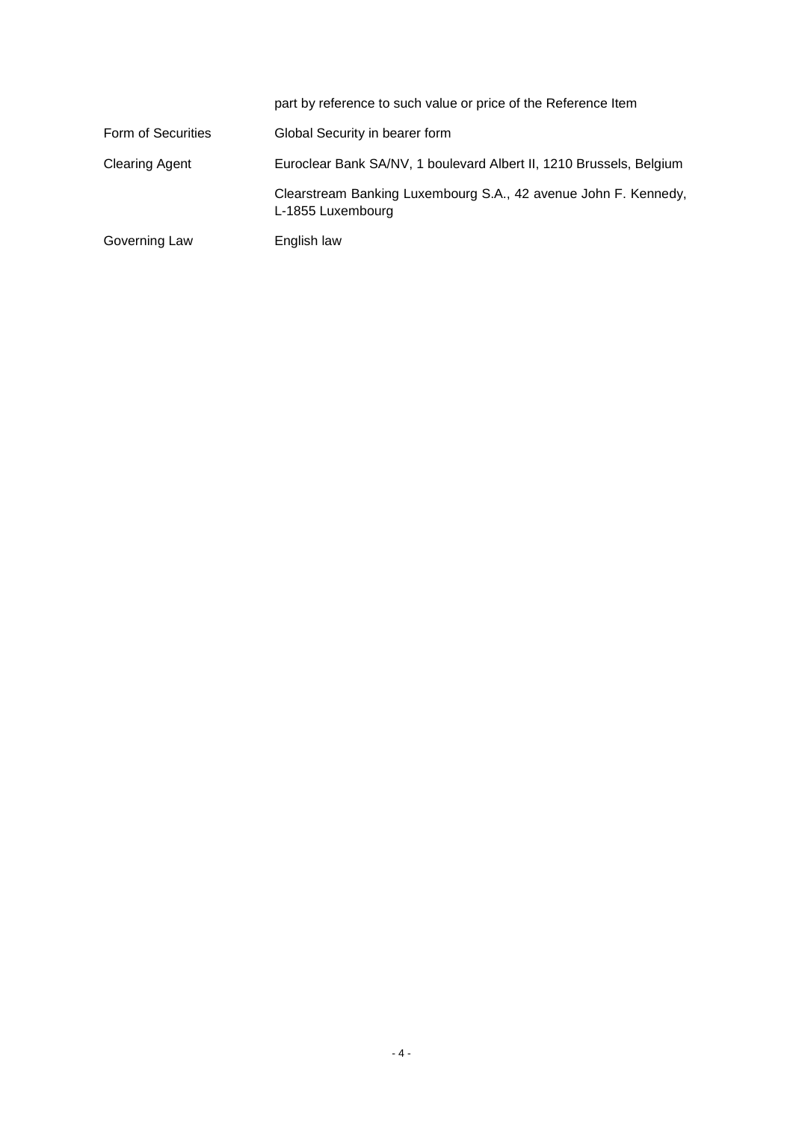|                       | part by reference to such value or price of the Reference Item                       |
|-----------------------|--------------------------------------------------------------------------------------|
| Form of Securities    | Global Security in bearer form                                                       |
| <b>Clearing Agent</b> | Euroclear Bank SA/NV, 1 boulevard Albert II, 1210 Brussels, Belgium                  |
|                       | Clearstream Banking Luxembourg S.A., 42 avenue John F. Kennedy,<br>L-1855 Luxembourg |
| Governing Law         | English law                                                                          |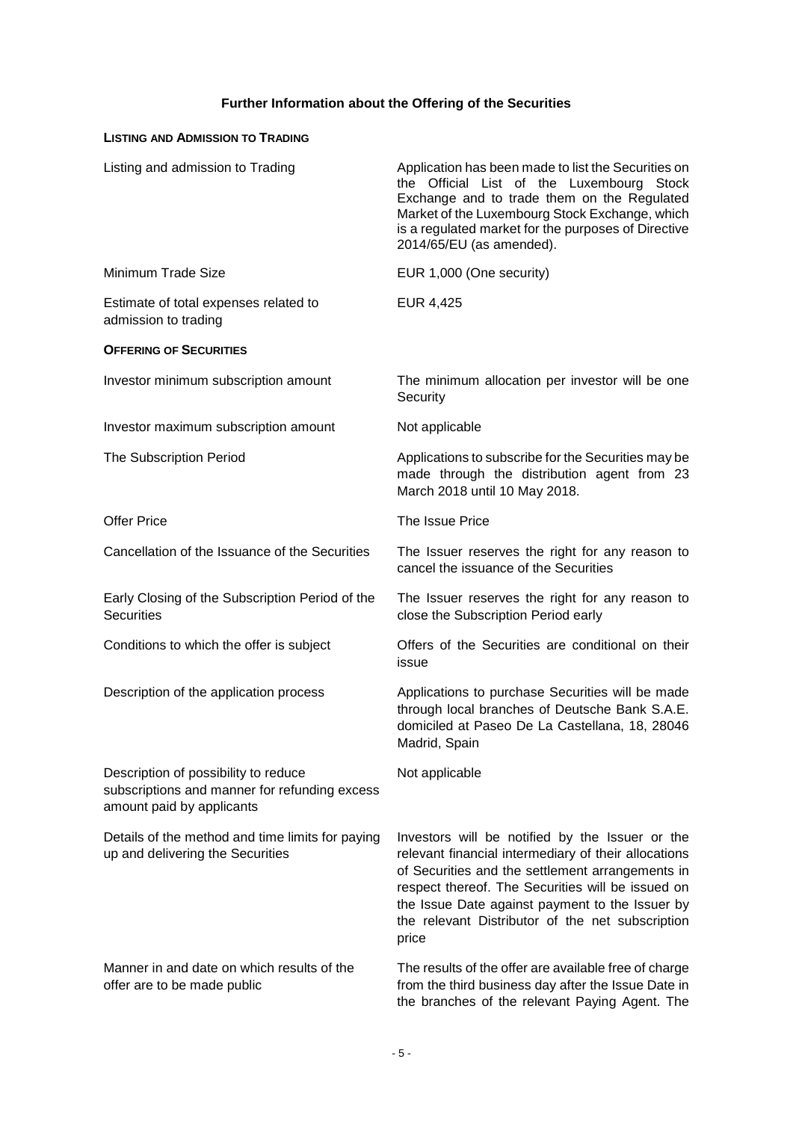# **Further Information about the Offering of the Securities**

## **LISTING AND ADMISSION TO TRADING**

| Listing and admission to Trading                                                                                   | Application has been made to list the Securities on<br>the Official List of the Luxembourg Stock<br>Exchange and to trade them on the Regulated<br>Market of the Luxembourg Stock Exchange, which<br>is a regulated market for the purposes of Directive<br>2014/65/EU (as amended).                                             |
|--------------------------------------------------------------------------------------------------------------------|----------------------------------------------------------------------------------------------------------------------------------------------------------------------------------------------------------------------------------------------------------------------------------------------------------------------------------|
| Minimum Trade Size                                                                                                 | EUR 1,000 (One security)                                                                                                                                                                                                                                                                                                         |
| Estimate of total expenses related to<br>admission to trading                                                      | EUR 4,425                                                                                                                                                                                                                                                                                                                        |
| <b>OFFERING OF SECURITIES</b>                                                                                      |                                                                                                                                                                                                                                                                                                                                  |
| Investor minimum subscription amount                                                                               | The minimum allocation per investor will be one<br>Security                                                                                                                                                                                                                                                                      |
| Investor maximum subscription amount                                                                               | Not applicable                                                                                                                                                                                                                                                                                                                   |
| The Subscription Period                                                                                            | Applications to subscribe for the Securities may be<br>made through the distribution agent from 23<br>March 2018 until 10 May 2018.                                                                                                                                                                                              |
| <b>Offer Price</b>                                                                                                 | The Issue Price                                                                                                                                                                                                                                                                                                                  |
| Cancellation of the Issuance of the Securities                                                                     | The Issuer reserves the right for any reason to<br>cancel the issuance of the Securities                                                                                                                                                                                                                                         |
| Early Closing of the Subscription Period of the<br><b>Securities</b>                                               | The Issuer reserves the right for any reason to<br>close the Subscription Period early                                                                                                                                                                                                                                           |
| Conditions to which the offer is subject                                                                           | Offers of the Securities are conditional on their<br>issue                                                                                                                                                                                                                                                                       |
| Description of the application process                                                                             | Applications to purchase Securities will be made<br>through local branches of Deutsche Bank S.A.E.<br>domiciled at Paseo De La Castellana, 18, 28046<br>Madrid, Spain                                                                                                                                                            |
| Description of possibility to reduce<br>subscriptions and manner for refunding excess<br>amount paid by applicants | Not applicable                                                                                                                                                                                                                                                                                                                   |
| Details of the method and time limits for paying<br>up and delivering the Securities                               | Investors will be notified by the Issuer or the<br>relevant financial intermediary of their allocations<br>of Securities and the settlement arrangements in<br>respect thereof. The Securities will be issued on<br>the Issue Date against payment to the Issuer by<br>the relevant Distributor of the net subscription<br>price |
| Manner in and date on which results of the<br>offer are to be made public                                          | The results of the offer are available free of charge<br>from the third business day after the Issue Date in<br>the branches of the relevant Paying Agent. The                                                                                                                                                                   |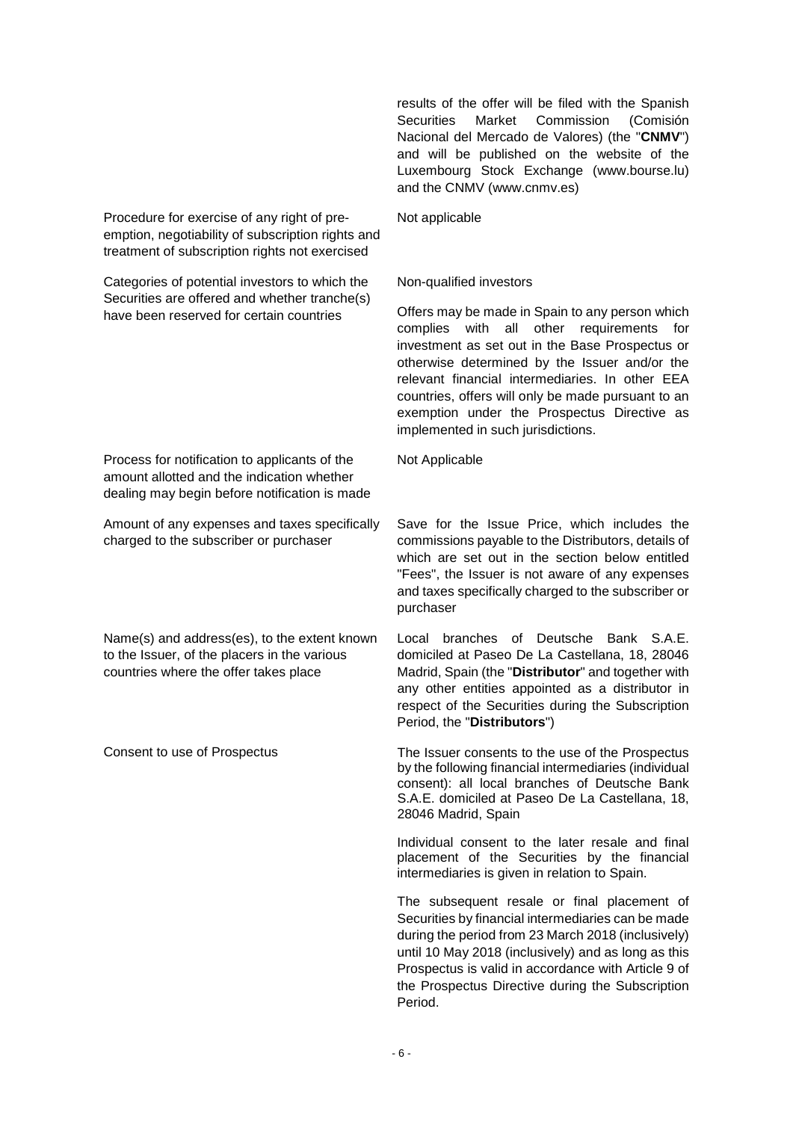results of the offer will be filed with the Spanish Securities Market Commission (Comisión Nacional del Mercado de Valores) (the "**CNMV**") and will be published on the website of the Luxembourg Stock Exchange (www.bourse.lu) and the CNMV (www.cnmv.es)

Procedure for exercise of any right of preemption, negotiability of subscription rights and treatment of subscription rights not exercised

Categories of potential investors to which the Securities are offered and whether tranche(s) have been reserved for certain countries

Process for notification to applicants of the amount allotted and the indication whether dealing may begin before notification is made

Amount of any expenses and taxes specifically charged to the subscriber or purchaser

Name(s) and address(es), to the extent known to the Issuer, of the placers in the various countries where the offer takes place

Not applicable

#### Non-qualified investors

Offers may be made in Spain to any person which complies with all other requirements for investment as set out in the Base Prospectus or otherwise determined by the Issuer and/or the relevant financial intermediaries. In other EEA countries, offers will only be made pursuant to an exemption under the Prospectus Directive as implemented in such jurisdictions.

Not Applicable

Save for the Issue Price, which includes the commissions payable to the Distributors, details of which are set out in the section below entitled "Fees", the Issuer is not aware of any expenses and taxes specifically charged to the subscriber or purchaser

Local branches of Deutsche Bank S.A.E. domiciled at Paseo De La Castellana, 18, 28046 Madrid, Spain (the "**Distributor**" and together with any other entities appointed as a distributor in respect of the Securities during the Subscription Period, the "**Distributors**")

Consent to use of Prospectus The Issuer consents to the use of the Prospectus by the following financial intermediaries (individual consent): all local branches of Deutsche Bank S.A.E. domiciled at Paseo De La Castellana, 18, 28046 Madrid, Spain

> Individual consent to the later resale and final placement of the Securities by the financial intermediaries is given in relation to Spain.

> The subsequent resale or final placement of Securities by financial intermediaries can be made during the period from 23 March 2018 (inclusively) until 10 May 2018 (inclusively) and as long as this Prospectus is valid in accordance with Article 9 of the Prospectus Directive during the Subscription Period.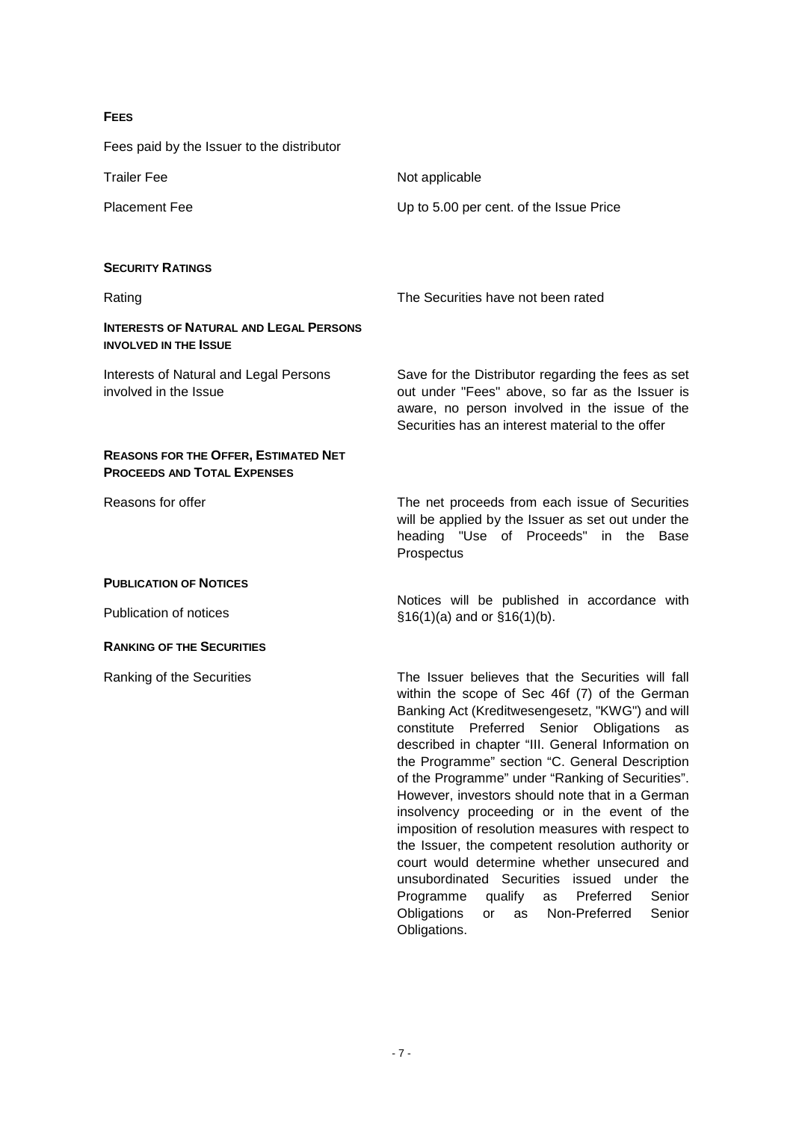## **FEES**

Fees paid by the Issuer to the distributor

| <b>Trailer Fee</b>                                                                | Not applicable                                                                                                                                                                                                                                                                                                                                                                                                                                                                                                                                                                                                                                                           |
|-----------------------------------------------------------------------------------|--------------------------------------------------------------------------------------------------------------------------------------------------------------------------------------------------------------------------------------------------------------------------------------------------------------------------------------------------------------------------------------------------------------------------------------------------------------------------------------------------------------------------------------------------------------------------------------------------------------------------------------------------------------------------|
| <b>Placement Fee</b>                                                              | Up to 5.00 per cent. of the Issue Price                                                                                                                                                                                                                                                                                                                                                                                                                                                                                                                                                                                                                                  |
| <b>SECURITY RATINGS</b>                                                           |                                                                                                                                                                                                                                                                                                                                                                                                                                                                                                                                                                                                                                                                          |
| Rating                                                                            | The Securities have not been rated                                                                                                                                                                                                                                                                                                                                                                                                                                                                                                                                                                                                                                       |
| <b>INTERESTS OF NATURAL AND LEGAL PERSONS</b><br><b>INVOLVED IN THE ISSUE</b>     |                                                                                                                                                                                                                                                                                                                                                                                                                                                                                                                                                                                                                                                                          |
| <b>Interests of Natural and Legal Persons</b><br>involved in the Issue            | Save for the Distributor regarding the fees as set<br>out under "Fees" above, so far as the Issuer is<br>aware, no person involved in the issue of the<br>Securities has an interest material to the offer                                                                                                                                                                                                                                                                                                                                                                                                                                                               |
| <b>REASONS FOR THE OFFER, ESTIMATED NET</b><br><b>PROCEEDS AND TOTAL EXPENSES</b> |                                                                                                                                                                                                                                                                                                                                                                                                                                                                                                                                                                                                                                                                          |
| Reasons for offer                                                                 | The net proceeds from each issue of Securities<br>will be applied by the Issuer as set out under the<br>heading "Use of Proceeds" in the<br>Base<br>Prospectus                                                                                                                                                                                                                                                                                                                                                                                                                                                                                                           |
| <b>PUBLICATION OF NOTICES</b>                                                     |                                                                                                                                                                                                                                                                                                                                                                                                                                                                                                                                                                                                                                                                          |
| Publication of notices                                                            | Notices will be published in accordance with<br>$$16(1)(a)$ and or $$16(1)(b)$ .                                                                                                                                                                                                                                                                                                                                                                                                                                                                                                                                                                                         |
| <b>RANKING OF THE SECURITIES</b>                                                  |                                                                                                                                                                                                                                                                                                                                                                                                                                                                                                                                                                                                                                                                          |
| Ranking of the Securities                                                         | The Issuer believes that the Securities will fall<br>within the scope of Sec 46f (7) of the German<br>Banking Act (Kreditwesengesetz, "KWG") and will<br>constitute Preferred Senior Obligations as<br>described in chapter "III. General Information on<br>the Programme" section "C. General Description<br>of the Programme" under "Ranking of Securities".<br>However, investors should note that in a German<br>insolvency proceeding or in the event of the<br>imposition of resolution measures with respect to<br>the Issuer, the competent resolution authority or<br>court would determine whether unsecured and<br>unsubordinated Securities issued under the |

Obligations.

Programme qualify as Preferred Senior Obligations or as Non-Preferred Senior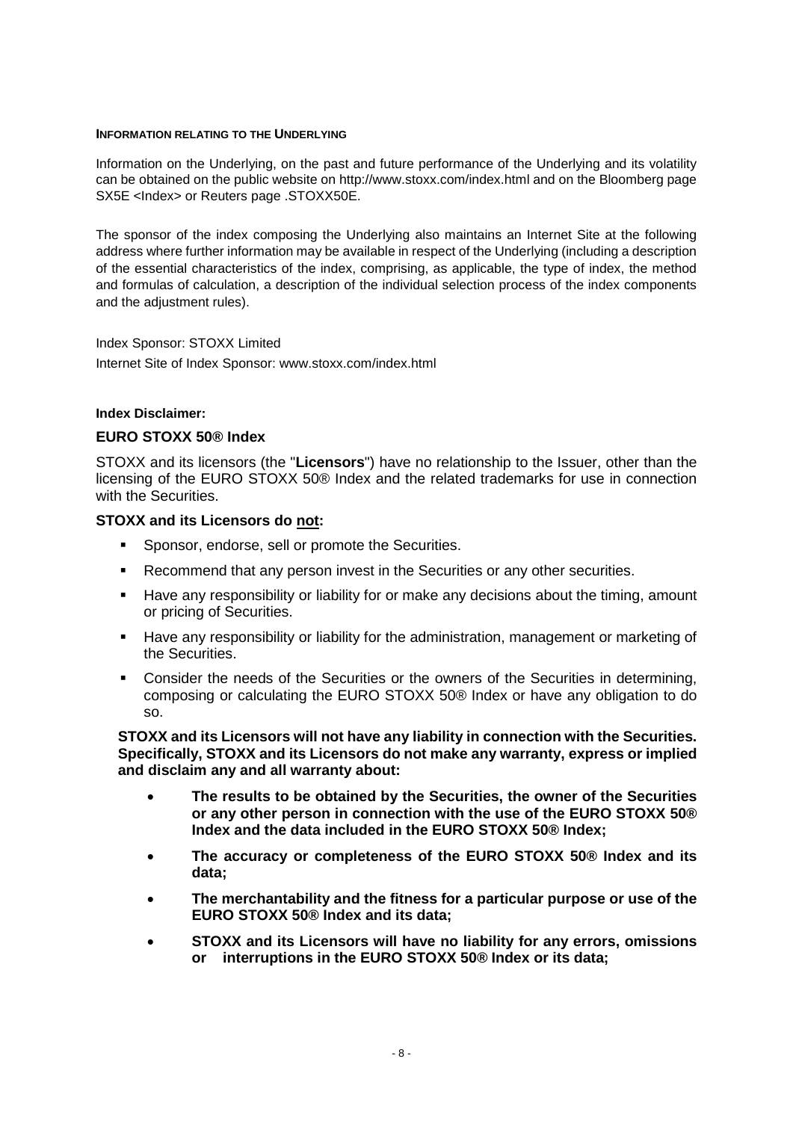#### **INFORMATION RELATING TO THE UNDERLYING**

Information on the Underlying, on the past and future performance of the Underlying and its volatility can be obtained on the public website on http://www.stoxx.com/index.html and on the Bloomberg page SX5E <Index> or Reuters page .STOXX50E.

The sponsor of the index composing the Underlying also maintains an Internet Site at the following address where further information may be available in respect of the Underlying (including a description of the essential characteristics of the index, comprising, as applicable, the type of index, the method and formulas of calculation, a description of the individual selection process of the index components and the adjustment rules).

## Index Sponsor: STOXX Limited

Internet Site of Index Sponsor: [www.stoxx.com/index.html](http://www.stoxx.com/index.html)

## **Index Disclaimer:**

## **EURO STOXX 50® Index**

STOXX and its licensors (the "**Licensors**") have no relationship to the Issuer, other than the licensing of the EURO STOXX 50® Index and the related trademarks for use in connection with the Securities.

## **STOXX and its Licensors do not:**

- **Sponsor, endorse, sell or promote the Securities.**
- Recommend that any person invest in the Securities or any other securities.
- Have any responsibility or liability for or make any decisions about the timing, amount or pricing of Securities.
- Have any responsibility or liability for the administration, management or marketing of the Securities.
- Consider the needs of the Securities or the owners of the Securities in determining, composing or calculating the EURO STOXX 50® Index or have any obligation to do so.

**STOXX and its Licensors will not have any liability in connection with the Securities. Specifically, STOXX and its Licensors do not make any warranty, express or implied and disclaim any and all warranty about:**

- **The results to be obtained by the Securities, the owner of the Securities or any other person in connection with the use of the EURO STOXX 50® Index and the data included in the EURO STOXX 50® Index;**
- **The accuracy or completeness of the EURO STOXX 50® Index and its data;**
- **The merchantability and the fitness for a particular purpose or use of the EURO STOXX 50® Index and its data;**
- **STOXX and its Licensors will have no liability for any errors, omissions or interruptions in the EURO STOXX 50® Index or its data;**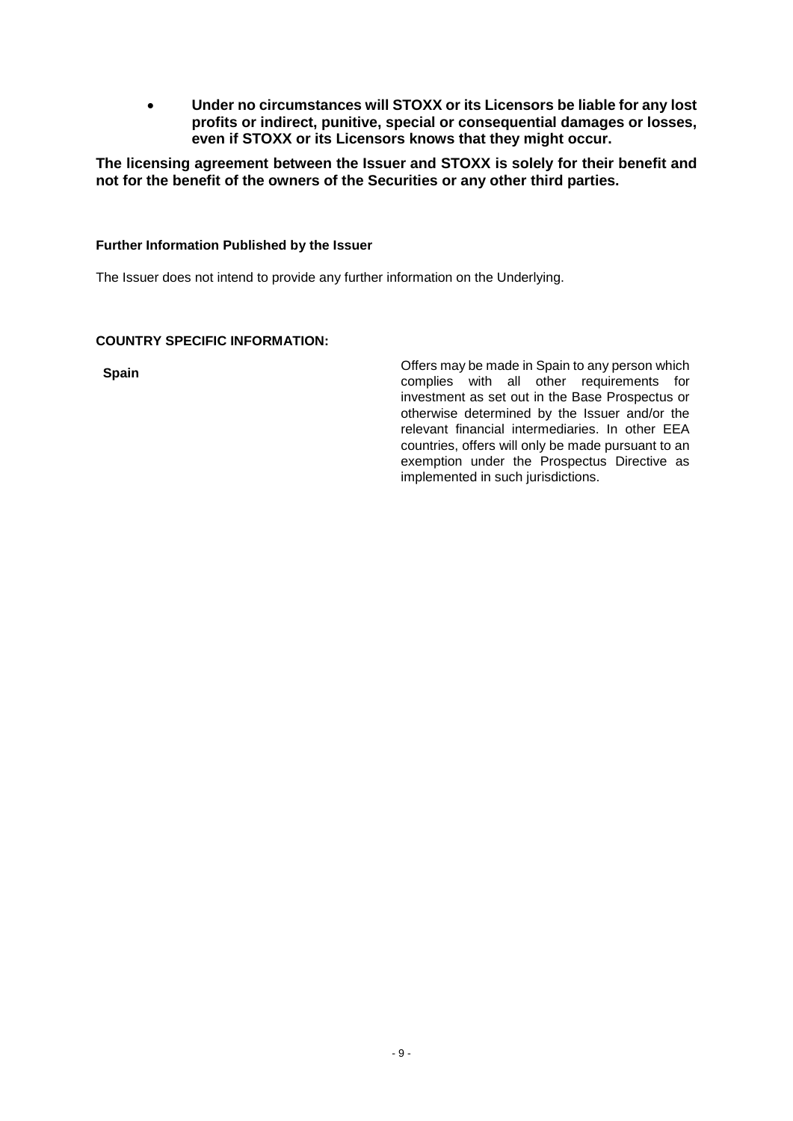• **Under no circumstances will STOXX or its Licensors be liable for any lost profits or indirect, punitive, special or consequential damages or losses, even if STOXX or its Licensors knows that they might occur.**

**The licensing agreement between the Issuer and STOXX is solely for their benefit and not for the benefit of the owners of the Securities or any other third parties.**

## **Further Information Published by the Issuer**

The Issuer does not intend to provide any further information on the Underlying.

## **COUNTRY SPECIFIC INFORMATION:**

**Spain Spain Spain Spain Spain Spain Spain Spain Spain Spain Spain Spain Spain Spain Spain Spain Spain Spain Spain Spain Spain Spain Spain Spain Spain Spain Spain Spain** complies with all other requirements for investment as set out in the Base Prospectus or otherwise determined by the Issuer and/or the relevant financial intermediaries. In other EEA countries, offers will only be made pursuant to an exemption under the Prospectus Directive as implemented in such jurisdictions.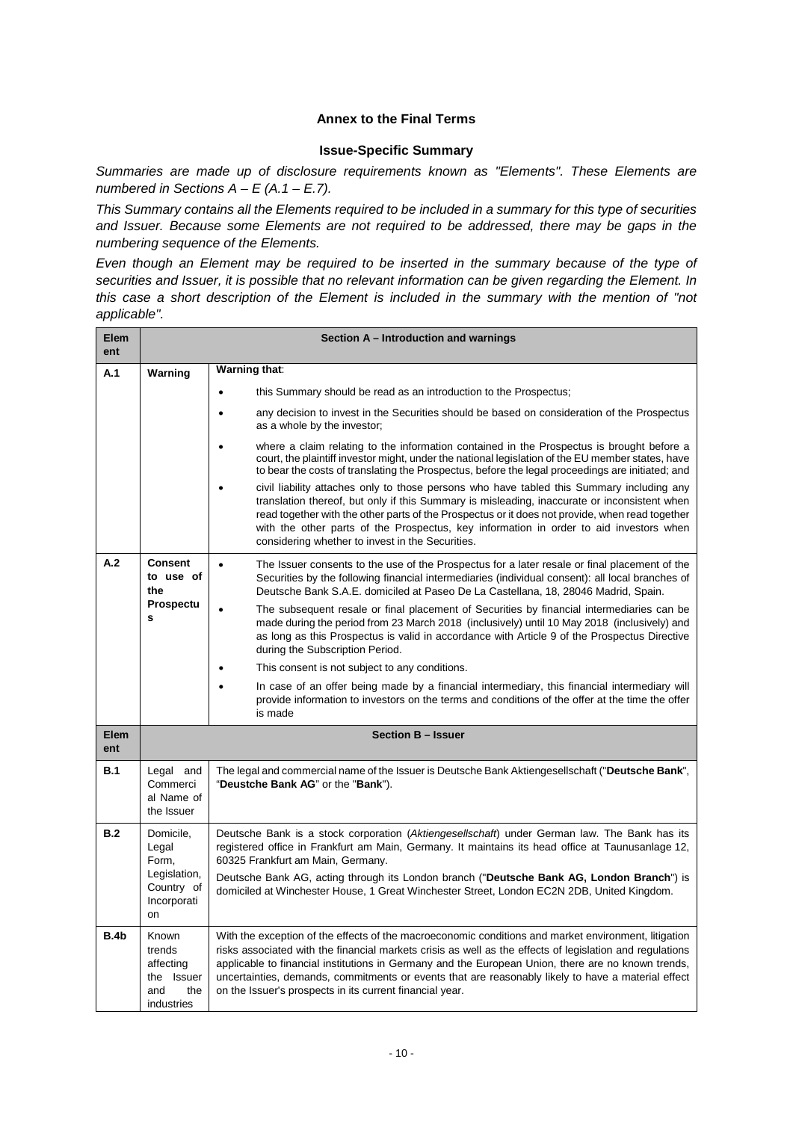## **Annex to the Final Terms**

## **Issue-Specific Summary**

*Summaries are made up of disclosure requirements known as "Elements". These Elements are numbered in Sections A – E (A.1 – E.7).* 

*This Summary contains all the Elements required to be included in a summary for this type of securities and Issuer. Because some Elements are not required to be addressed, there may be gaps in the numbering sequence of the Elements.* 

*Even though an Element may be required to be inserted in the summary because of the type of securities and Issuer, it is possible that no relevant information can be given regarding the Element. In this case a short description of the Element is included in the summary with the mention of "not applicable".*

| Elem<br>ent | Section A – Introduction and warnings                                  |                                                                                                                                                                                                                                                                                                                                                                                                                                                                                                                                                                                                                                                                                                                                                               |  |  |
|-------------|------------------------------------------------------------------------|---------------------------------------------------------------------------------------------------------------------------------------------------------------------------------------------------------------------------------------------------------------------------------------------------------------------------------------------------------------------------------------------------------------------------------------------------------------------------------------------------------------------------------------------------------------------------------------------------------------------------------------------------------------------------------------------------------------------------------------------------------------|--|--|
| A.1         | Warning                                                                | Warning that:                                                                                                                                                                                                                                                                                                                                                                                                                                                                                                                                                                                                                                                                                                                                                 |  |  |
|             |                                                                        | this Summary should be read as an introduction to the Prospectus;                                                                                                                                                                                                                                                                                                                                                                                                                                                                                                                                                                                                                                                                                             |  |  |
|             |                                                                        | any decision to invest in the Securities should be based on consideration of the Prospectus<br>as a whole by the investor;                                                                                                                                                                                                                                                                                                                                                                                                                                                                                                                                                                                                                                    |  |  |
|             |                                                                        | where a claim relating to the information contained in the Prospectus is brought before a<br>court, the plaintiff investor might, under the national legislation of the EU member states, have<br>to bear the costs of translating the Prospectus, before the legal proceedings are initiated; and<br>civil liability attaches only to those persons who have tabled this Summary including any<br>$\bullet$<br>translation thereof, but only if this Summary is misleading, inaccurate or inconsistent when<br>read together with the other parts of the Prospectus or it does not provide, when read together<br>with the other parts of the Prospectus, key information in order to aid investors when<br>considering whether to invest in the Securities. |  |  |
| A.2         | <b>Consent</b><br>to use of<br>the                                     | The Issuer consents to the use of the Prospectus for a later resale or final placement of the<br>$\bullet$<br>Securities by the following financial intermediaries (individual consent): all local branches of<br>Deutsche Bank S.A.E. domiciled at Paseo De La Castellana, 18, 28046 Madrid, Spain.                                                                                                                                                                                                                                                                                                                                                                                                                                                          |  |  |
|             | Prospectu<br>s                                                         | The subsequent resale or final placement of Securities by financial intermediaries can be<br>made during the period from 23 March 2018 (inclusively) until 10 May 2018 (inclusively) and<br>as long as this Prospectus is valid in accordance with Article 9 of the Prospectus Directive<br>during the Subscription Period.                                                                                                                                                                                                                                                                                                                                                                                                                                   |  |  |
|             |                                                                        | This consent is not subject to any conditions.                                                                                                                                                                                                                                                                                                                                                                                                                                                                                                                                                                                                                                                                                                                |  |  |
|             |                                                                        | In case of an offer being made by a financial intermediary, this financial intermediary will<br>provide information to investors on the terms and conditions of the offer at the time the offer<br>is made                                                                                                                                                                                                                                                                                                                                                                                                                                                                                                                                                    |  |  |
| Elem<br>ent |                                                                        | <b>Section B - Issuer</b>                                                                                                                                                                                                                                                                                                                                                                                                                                                                                                                                                                                                                                                                                                                                     |  |  |
| B.1         | Legal and<br>Commerci<br>al Name of<br>the Issuer                      | The legal and commercial name of the Issuer is Deutsche Bank Aktiengesellschaft ("Deutsche Bank",<br>"Deustche Bank AG" or the "Bank").                                                                                                                                                                                                                                                                                                                                                                                                                                                                                                                                                                                                                       |  |  |
| B.2         | Domicile,<br>Legal<br>Form,                                            | Deutsche Bank is a stock corporation (Aktiengesellschaft) under German law. The Bank has its<br>registered office in Frankfurt am Main, Germany. It maintains its head office at Taunusanlage 12,<br>60325 Frankfurt am Main, Germany.                                                                                                                                                                                                                                                                                                                                                                                                                                                                                                                        |  |  |
|             | Legislation,<br>Country of<br>Incorporati<br>on                        | Deutsche Bank AG, acting through its London branch ("Deutsche Bank AG, London Branch") is<br>domiciled at Winchester House, 1 Great Winchester Street, London EC2N 2DB, United Kingdom.                                                                                                                                                                                                                                                                                                                                                                                                                                                                                                                                                                       |  |  |
| B.4b        | Known<br>trends<br>affecting<br>the Issuer<br>and<br>the<br>industries | With the exception of the effects of the macroeconomic conditions and market environment, litigation<br>risks associated with the financial markets crisis as well as the effects of legislation and regulations<br>applicable to financial institutions in Germany and the European Union, there are no known trends,<br>uncertainties, demands, commitments or events that are reasonably likely to have a material effect<br>on the Issuer's prospects in its current financial year.                                                                                                                                                                                                                                                                      |  |  |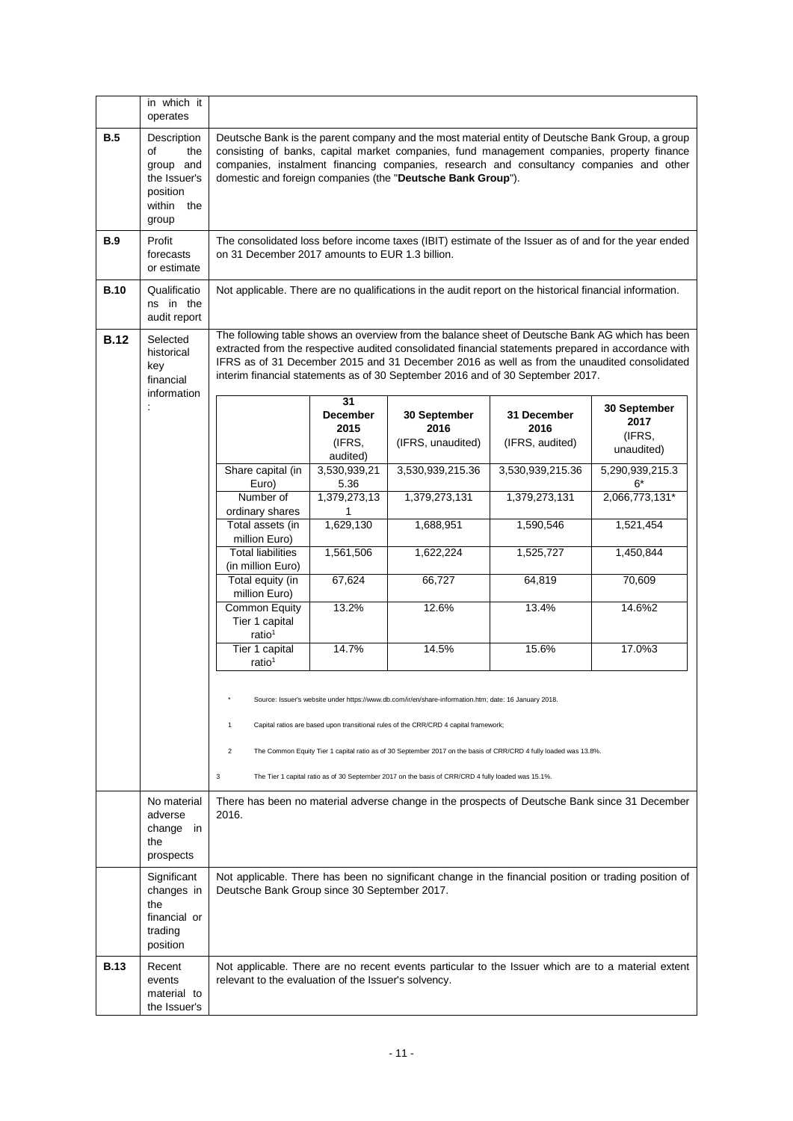|             | in which it<br>operates                                                                     |                                                                                                                                                                                                                                                                                                                                                          |                                                                                                                                                         |                                                                                                                                                                                                                                                                                                                                                                                         |                                        |                                              |
|-------------|---------------------------------------------------------------------------------------------|----------------------------------------------------------------------------------------------------------------------------------------------------------------------------------------------------------------------------------------------------------------------------------------------------------------------------------------------------------|---------------------------------------------------------------------------------------------------------------------------------------------------------|-----------------------------------------------------------------------------------------------------------------------------------------------------------------------------------------------------------------------------------------------------------------------------------------------------------------------------------------------------------------------------------------|----------------------------------------|----------------------------------------------|
| B.5         | Description<br>of<br>the<br>group and<br>the Issuer's<br>position<br>within<br>the<br>group | Deutsche Bank is the parent company and the most material entity of Deutsche Bank Group, a group<br>consisting of banks, capital market companies, fund management companies, property finance<br>companies, instalment financing companies, research and consultancy companies and other<br>domestic and foreign companies (the "Deutsche Bank Group"). |                                                                                                                                                         |                                                                                                                                                                                                                                                                                                                                                                                         |                                        |                                              |
| <b>B.9</b>  | Profit<br>forecasts<br>or estimate                                                          |                                                                                                                                                                                                                                                                                                                                                          | The consolidated loss before income taxes (IBIT) estimate of the Issuer as of and for the year ended<br>on 31 December 2017 amounts to EUR 1.3 billion. |                                                                                                                                                                                                                                                                                                                                                                                         |                                        |                                              |
| <b>B.10</b> | Qualificatio<br>ns in the<br>audit report                                                   |                                                                                                                                                                                                                                                                                                                                                          |                                                                                                                                                         | Not applicable. There are no qualifications in the audit report on the historical financial information.                                                                                                                                                                                                                                                                                |                                        |                                              |
| <b>B.12</b> | Selected<br>historical<br>key<br>financial<br>information                                   |                                                                                                                                                                                                                                                                                                                                                          |                                                                                                                                                         | The following table shows an overview from the balance sheet of Deutsche Bank AG which has been<br>extracted from the respective audited consolidated financial statements prepared in accordance with<br>IFRS as of 31 December 2015 and 31 December 2016 as well as from the unaudited consolidated<br>interim financial statements as of 30 September 2016 and of 30 September 2017. |                                        |                                              |
|             | $\ddot{\phantom{a}}$                                                                        |                                                                                                                                                                                                                                                                                                                                                          | 31<br><b>December</b><br>2015<br>(IFRS,                                                                                                                 | 30 September<br>2016<br>(IFRS, unaudited)                                                                                                                                                                                                                                                                                                                                               | 31 December<br>2016<br>(IFRS, audited) | 30 September<br>2017<br>(IFRS,<br>unaudited) |
|             |                                                                                             | Share capital (in<br>Euro)                                                                                                                                                                                                                                                                                                                               | audited)<br>3,530,939,21<br>5.36                                                                                                                        | 3,530,939,215.36                                                                                                                                                                                                                                                                                                                                                                        | 3,530,939,215.36                       | 5,290,939,215.3<br>$6*$                      |
|             |                                                                                             | Number of<br>ordinary shares                                                                                                                                                                                                                                                                                                                             | 1,379,273,13<br>1                                                                                                                                       | 1,379,273,131                                                                                                                                                                                                                                                                                                                                                                           | 1,379,273,131                          | 2,066,773,131*                               |
|             |                                                                                             | Total assets (in<br>million Euro)                                                                                                                                                                                                                                                                                                                        | 1,629,130                                                                                                                                               | 1,688,951                                                                                                                                                                                                                                                                                                                                                                               | 1,590,546                              | 1,521,454                                    |
|             |                                                                                             | <b>Total liabilities</b><br>(in million Euro)                                                                                                                                                                                                                                                                                                            | 1,561,506                                                                                                                                               | 1,622,224                                                                                                                                                                                                                                                                                                                                                                               | 1,525,727                              | 1,450,844                                    |
|             |                                                                                             | Total equity (in<br>million Euro)                                                                                                                                                                                                                                                                                                                        | 67,624                                                                                                                                                  | 66,727                                                                                                                                                                                                                                                                                                                                                                                  | 64,819                                 | 70,609                                       |
|             |                                                                                             | Common Equity<br>Tier 1 capital<br>ratio <sup>1</sup>                                                                                                                                                                                                                                                                                                    | 13.2%                                                                                                                                                   | 12.6%                                                                                                                                                                                                                                                                                                                                                                                   | 13.4%                                  | 14.6%2                                       |
|             |                                                                                             | Tier 1 capital<br>ratio <sup>1</sup>                                                                                                                                                                                                                                                                                                                     | 14.7%                                                                                                                                                   | 14.5%                                                                                                                                                                                                                                                                                                                                                                                   | 15.6%                                  | 17.0%3                                       |
|             |                                                                                             | Source: Issuer's website under https://www.db.com/ir/en/share-information.htm; date: 16 January 2018.                                                                                                                                                                                                                                                    |                                                                                                                                                         |                                                                                                                                                                                                                                                                                                                                                                                         |                                        |                                              |
|             |                                                                                             | 1                                                                                                                                                                                                                                                                                                                                                        |                                                                                                                                                         | Capital ratios are based upon transitional rules of the CRR/CRD 4 capital framework;                                                                                                                                                                                                                                                                                                    |                                        |                                              |
|             |                                                                                             | $\overline{c}$                                                                                                                                                                                                                                                                                                                                           |                                                                                                                                                         | The Common Equity Tier 1 capital ratio as of 30 September 2017 on the basis of CRR/CRD 4 fully loaded was 13.8%.                                                                                                                                                                                                                                                                        |                                        |                                              |
|             | No material<br>adverse<br>change in                                                         | 3<br>The Tier 1 capital ratio as of 30 September 2017 on the basis of CRR/CRD 4 fully loaded was 15.1%.<br>There has been no material adverse change in the prospects of Deutsche Bank since 31 December<br>2016.                                                                                                                                        |                                                                                                                                                         |                                                                                                                                                                                                                                                                                                                                                                                         |                                        |                                              |
|             | the<br>prospects                                                                            |                                                                                                                                                                                                                                                                                                                                                          |                                                                                                                                                         |                                                                                                                                                                                                                                                                                                                                                                                         |                                        |                                              |
|             | Significant<br>changes in<br>the<br>financial or<br>trading<br>position                     | Deutsche Bank Group since 30 September 2017.                                                                                                                                                                                                                                                                                                             |                                                                                                                                                         | Not applicable. There has been no significant change in the financial position or trading position of                                                                                                                                                                                                                                                                                   |                                        |                                              |
| <b>B.13</b> | Recent<br>events<br>material to<br>the Issuer's                                             | relevant to the evaluation of the Issuer's solvency.                                                                                                                                                                                                                                                                                                     |                                                                                                                                                         | Not applicable. There are no recent events particular to the Issuer which are to a material extent                                                                                                                                                                                                                                                                                      |                                        |                                              |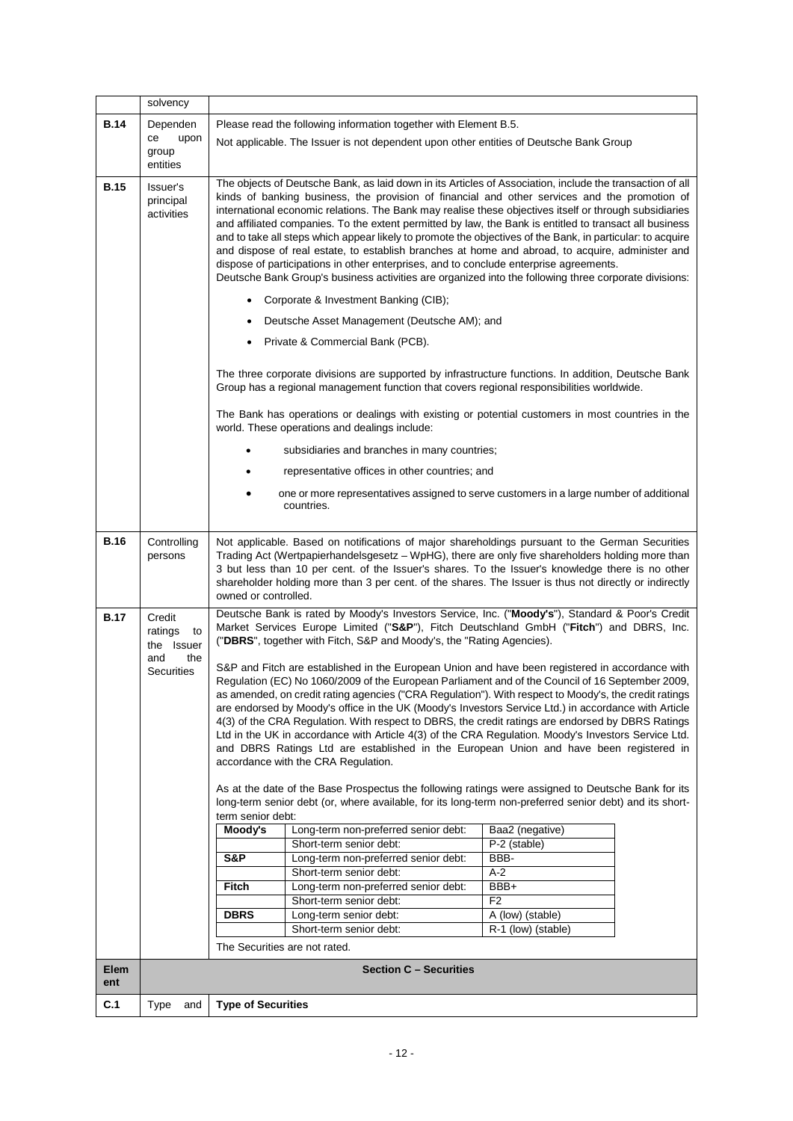|             | solvency                              |                                                                                                                                                                                                                                                                                                                                                                                                                                                                                                                                                                                                                                                                                                                                                                                                                                                      |                                                                                                                                                                                                  |                    |  |  |
|-------------|---------------------------------------|------------------------------------------------------------------------------------------------------------------------------------------------------------------------------------------------------------------------------------------------------------------------------------------------------------------------------------------------------------------------------------------------------------------------------------------------------------------------------------------------------------------------------------------------------------------------------------------------------------------------------------------------------------------------------------------------------------------------------------------------------------------------------------------------------------------------------------------------------|--------------------------------------------------------------------------------------------------------------------------------------------------------------------------------------------------|--------------------|--|--|
| B.14        | Dependen                              | Please read the following information together with Element B.5.                                                                                                                                                                                                                                                                                                                                                                                                                                                                                                                                                                                                                                                                                                                                                                                     |                                                                                                                                                                                                  |                    |  |  |
|             | upon<br>ce                            | Not applicable. The Issuer is not dependent upon other entities of Deutsche Bank Group                                                                                                                                                                                                                                                                                                                                                                                                                                                                                                                                                                                                                                                                                                                                                               |                                                                                                                                                                                                  |                    |  |  |
|             | group                                 |                                                                                                                                                                                                                                                                                                                                                                                                                                                                                                                                                                                                                                                                                                                                                                                                                                                      |                                                                                                                                                                                                  |                    |  |  |
|             | entities                              |                                                                                                                                                                                                                                                                                                                                                                                                                                                                                                                                                                                                                                                                                                                                                                                                                                                      |                                                                                                                                                                                                  |                    |  |  |
| <b>B.15</b> | Issuer's<br>principal<br>activities   | The objects of Deutsche Bank, as laid down in its Articles of Association, include the transaction of all<br>kinds of banking business, the provision of financial and other services and the promotion of<br>international economic relations. The Bank may realise these objectives itself or through subsidiaries<br>and affiliated companies. To the extent permitted by law, the Bank is entitled to transact all business<br>and to take all steps which appear likely to promote the objectives of the Bank, in particular: to acquire<br>and dispose of real estate, to establish branches at home and abroad, to acquire, administer and<br>dispose of participations in other enterprises, and to conclude enterprise agreements.<br>Deutsche Bank Group's business activities are organized into the following three corporate divisions: |                                                                                                                                                                                                  |                    |  |  |
|             |                                       |                                                                                                                                                                                                                                                                                                                                                                                                                                                                                                                                                                                                                                                                                                                                                                                                                                                      | Corporate & Investment Banking (CIB);                                                                                                                                                            |                    |  |  |
|             |                                       |                                                                                                                                                                                                                                                                                                                                                                                                                                                                                                                                                                                                                                                                                                                                                                                                                                                      | Deutsche Asset Management (Deutsche AM); and                                                                                                                                                     |                    |  |  |
|             |                                       | ٠                                                                                                                                                                                                                                                                                                                                                                                                                                                                                                                                                                                                                                                                                                                                                                                                                                                    | Private & Commercial Bank (PCB).                                                                                                                                                                 |                    |  |  |
|             |                                       |                                                                                                                                                                                                                                                                                                                                                                                                                                                                                                                                                                                                                                                                                                                                                                                                                                                      | The three corporate divisions are supported by infrastructure functions. In addition, Deutsche Bank<br>Group has a regional management function that covers regional responsibilities worldwide. |                    |  |  |
|             |                                       |                                                                                                                                                                                                                                                                                                                                                                                                                                                                                                                                                                                                                                                                                                                                                                                                                                                      | The Bank has operations or dealings with existing or potential customers in most countries in the<br>world. These operations and dealings include:                                               |                    |  |  |
|             |                                       |                                                                                                                                                                                                                                                                                                                                                                                                                                                                                                                                                                                                                                                                                                                                                                                                                                                      | subsidiaries and branches in many countries;                                                                                                                                                     |                    |  |  |
|             |                                       |                                                                                                                                                                                                                                                                                                                                                                                                                                                                                                                                                                                                                                                                                                                                                                                                                                                      | representative offices in other countries; and                                                                                                                                                   |                    |  |  |
|             |                                       |                                                                                                                                                                                                                                                                                                                                                                                                                                                                                                                                                                                                                                                                                                                                                                                                                                                      | one or more representatives assigned to serve customers in a large number of additional                                                                                                          |                    |  |  |
|             |                                       |                                                                                                                                                                                                                                                                                                                                                                                                                                                                                                                                                                                                                                                                                                                                                                                                                                                      | countries.                                                                                                                                                                                       |                    |  |  |
|             |                                       |                                                                                                                                                                                                                                                                                                                                                                                                                                                                                                                                                                                                                                                                                                                                                                                                                                                      |                                                                                                                                                                                                  |                    |  |  |
| <b>B.16</b> | Controlling<br>persons                | Not applicable. Based on notifications of major shareholdings pursuant to the German Securities<br>Trading Act (Wertpapierhandelsgesetz - WpHG), there are only five shareholders holding more than<br>3 but less than 10 per cent. of the Issuer's shares. To the Issuer's knowledge there is no other<br>shareholder holding more than 3 per cent. of the shares. The Issuer is thus not directly or indirectly<br>owned or controlled.                                                                                                                                                                                                                                                                                                                                                                                                            |                                                                                                                                                                                                  |                    |  |  |
| B.17        | Credit<br>ratings<br>to<br>the Issuer | Deutsche Bank is rated by Moody's Investors Service, Inc. ("Moody's"), Standard & Poor's Credit<br>Market Services Europe Limited ("S&P"), Fitch Deutschland GmbH ("Fitch") and DBRS, Inc.<br>("DBRS", together with Fitch, S&P and Moody's, the "Rating Agencies).                                                                                                                                                                                                                                                                                                                                                                                                                                                                                                                                                                                  |                                                                                                                                                                                                  |                    |  |  |
|             | and<br>the<br><b>Securities</b>       | S&P and Fitch are established in the European Union and have been registered in accordance with<br>Regulation (EC) No 1060/2009 of the European Parliament and of the Council of 16 September 2009,<br>as amended, on credit rating agencies ("CRA Regulation"). With respect to Moody's, the credit ratings<br>are endorsed by Moody's office in the UK (Moody's Investors Service Ltd.) in accordance with Article<br>4(3) of the CRA Regulation. With respect to DBRS, the credit ratings are endorsed by DBRS Ratings<br>Ltd in the UK in accordance with Article 4(3) of the CRA Regulation. Moody's Investors Service Ltd.<br>and DBRS Ratings Ltd are established in the European Union and have been registered in<br>accordance with the CRA Regulation.                                                                                    |                                                                                                                                                                                                  |                    |  |  |
|             |                                       | As at the date of the Base Prospectus the following ratings were assigned to Deutsche Bank for its<br>long-term senior debt (or, where available, for its long-term non-preferred senior debt) and its short-                                                                                                                                                                                                                                                                                                                                                                                                                                                                                                                                                                                                                                        |                                                                                                                                                                                                  |                    |  |  |
|             |                                       | term senior debt:                                                                                                                                                                                                                                                                                                                                                                                                                                                                                                                                                                                                                                                                                                                                                                                                                                    |                                                                                                                                                                                                  |                    |  |  |
|             |                                       | Moody's                                                                                                                                                                                                                                                                                                                                                                                                                                                                                                                                                                                                                                                                                                                                                                                                                                              | Long-term non-preferred senior debt:                                                                                                                                                             | Baa2 (negative)    |  |  |
|             |                                       |                                                                                                                                                                                                                                                                                                                                                                                                                                                                                                                                                                                                                                                                                                                                                                                                                                                      | Short-term senior debt:                                                                                                                                                                          | P-2 (stable)       |  |  |
|             |                                       | S&P                                                                                                                                                                                                                                                                                                                                                                                                                                                                                                                                                                                                                                                                                                                                                                                                                                                  | Long-term non-preferred senior debt:                                                                                                                                                             | BBB-               |  |  |
|             |                                       | Fitch                                                                                                                                                                                                                                                                                                                                                                                                                                                                                                                                                                                                                                                                                                                                                                                                                                                | Short-term senior debt:<br>Long-term non-preferred senior debt:                                                                                                                                  | A-2<br>BBB+        |  |  |
|             |                                       |                                                                                                                                                                                                                                                                                                                                                                                                                                                                                                                                                                                                                                                                                                                                                                                                                                                      | Short-term senior debt:                                                                                                                                                                          | F <sub>2</sub>     |  |  |
|             |                                       | <b>DBRS</b>                                                                                                                                                                                                                                                                                                                                                                                                                                                                                                                                                                                                                                                                                                                                                                                                                                          | Long-term senior debt:                                                                                                                                                                           | A (low) (stable)   |  |  |
|             |                                       |                                                                                                                                                                                                                                                                                                                                                                                                                                                                                                                                                                                                                                                                                                                                                                                                                                                      | Short-term senior debt:                                                                                                                                                                          | R-1 (low) (stable) |  |  |
|             |                                       |                                                                                                                                                                                                                                                                                                                                                                                                                                                                                                                                                                                                                                                                                                                                                                                                                                                      | The Securities are not rated.                                                                                                                                                                    |                    |  |  |
| Elem        |                                       | <b>Section C - Securities</b>                                                                                                                                                                                                                                                                                                                                                                                                                                                                                                                                                                                                                                                                                                                                                                                                                        |                                                                                                                                                                                                  |                    |  |  |
| ent         |                                       |                                                                                                                                                                                                                                                                                                                                                                                                                                                                                                                                                                                                                                                                                                                                                                                                                                                      |                                                                                                                                                                                                  |                    |  |  |
| C.1         | Type<br>and                           | <b>Type of Securities</b>                                                                                                                                                                                                                                                                                                                                                                                                                                                                                                                                                                                                                                                                                                                                                                                                                            |                                                                                                                                                                                                  |                    |  |  |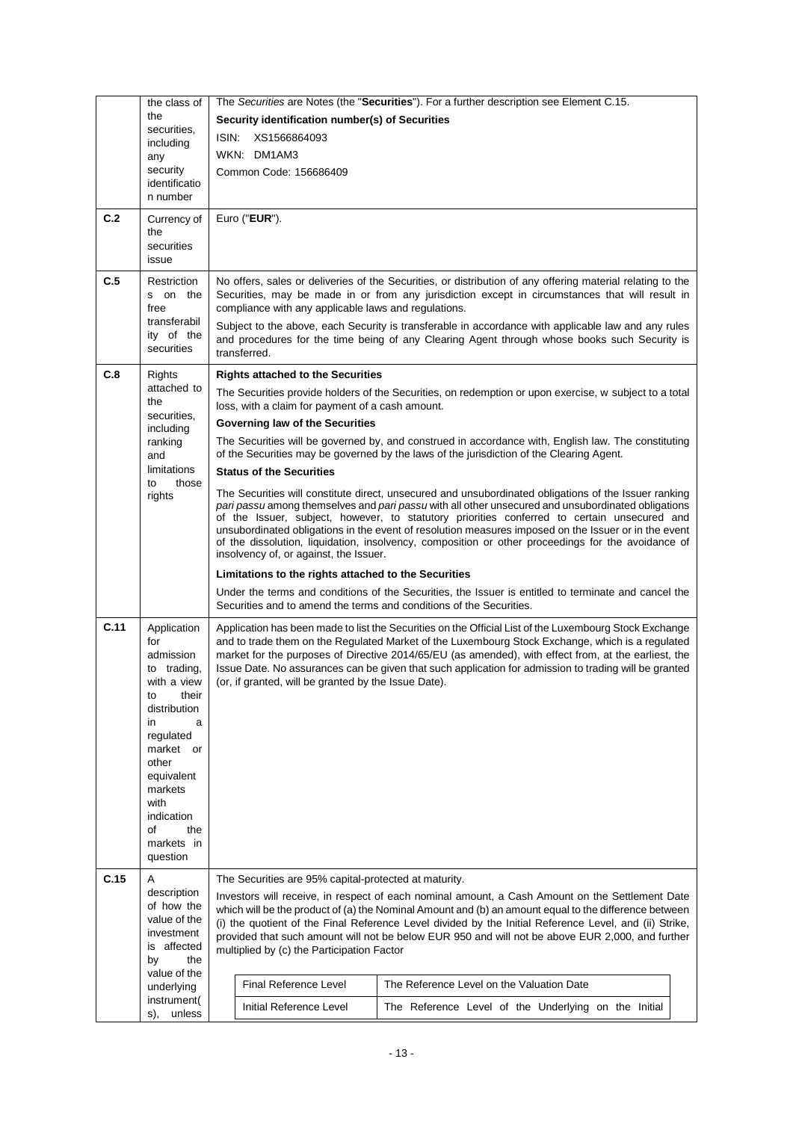|      | the class of                 |                                                                                                                                                                                                            | The Securities are Notes (the "Securities"). For a further description see Element C.15.                                                                                                                    |  |
|------|------------------------------|------------------------------------------------------------------------------------------------------------------------------------------------------------------------------------------------------------|-------------------------------------------------------------------------------------------------------------------------------------------------------------------------------------------------------------|--|
|      | the                          | Security identification number(s) of Securities                                                                                                                                                            |                                                                                                                                                                                                             |  |
|      | securities.<br>including     | XS1566864093<br>ISIN:                                                                                                                                                                                      |                                                                                                                                                                                                             |  |
|      | any                          | WKN: DM1AM3                                                                                                                                                                                                |                                                                                                                                                                                                             |  |
|      | security                     | Common Code: 156686409                                                                                                                                                                                     |                                                                                                                                                                                                             |  |
|      | identificatio<br>n number    |                                                                                                                                                                                                            |                                                                                                                                                                                                             |  |
| C.2  | Currency of                  | Euro ("EUR").                                                                                                                                                                                              |                                                                                                                                                                                                             |  |
|      | the                          |                                                                                                                                                                                                            |                                                                                                                                                                                                             |  |
|      | securities<br>issue          |                                                                                                                                                                                                            |                                                                                                                                                                                                             |  |
| C.5  | Restriction                  |                                                                                                                                                                                                            | No offers, sales or deliveries of the Securities, or distribution of any offering material relating to the                                                                                                  |  |
|      | s on the                     |                                                                                                                                                                                                            | Securities, may be made in or from any jurisdiction except in circumstances that will result in                                                                                                             |  |
|      | free                         | compliance with any applicable laws and regulations.                                                                                                                                                       |                                                                                                                                                                                                             |  |
|      | transferabil<br>ity of the   |                                                                                                                                                                                                            | Subject to the above, each Security is transferable in accordance with applicable law and any rules                                                                                                         |  |
|      | securities                   | transferred.                                                                                                                                                                                               | and procedures for the time being of any Clearing Agent through whose books such Security is                                                                                                                |  |
|      |                              |                                                                                                                                                                                                            |                                                                                                                                                                                                             |  |
| C.8  | Rights<br>attached to        | <b>Rights attached to the Securities</b>                                                                                                                                                                   |                                                                                                                                                                                                             |  |
|      | the                          | loss, with a claim for payment of a cash amount.                                                                                                                                                           | The Securities provide holders of the Securities, on redemption or upon exercise, w subject to a total                                                                                                      |  |
|      | securities.<br>including     | Governing law of the Securities                                                                                                                                                                            |                                                                                                                                                                                                             |  |
|      | ranking                      |                                                                                                                                                                                                            | The Securities will be governed by, and construed in accordance with, English law. The constituting                                                                                                         |  |
|      | and<br>limitations           |                                                                                                                                                                                                            | of the Securities may be governed by the laws of the jurisdiction of the Clearing Agent.                                                                                                                    |  |
|      | to<br>those                  | <b>Status of the Securities</b>                                                                                                                                                                            |                                                                                                                                                                                                             |  |
|      | rights                       |                                                                                                                                                                                                            | The Securities will constitute direct, unsecured and unsubordinated obligations of the Issuer ranking<br>pari passu among themselves and pari passu with all other unsecured and unsubordinated obligations |  |
|      |                              |                                                                                                                                                                                                            | of the Issuer, subject, however, to statutory priorities conferred to certain unsecured and                                                                                                                 |  |
|      |                              |                                                                                                                                                                                                            | unsubordinated obligations in the event of resolution measures imposed on the Issuer or in the event<br>of the dissolution, liquidation, insolvency, composition or other proceedings for the avoidance of  |  |
|      |                              | insolvency of, or against, the Issuer.                                                                                                                                                                     |                                                                                                                                                                                                             |  |
|      |                              | Limitations to the rights attached to the Securities                                                                                                                                                       |                                                                                                                                                                                                             |  |
|      |                              |                                                                                                                                                                                                            | Under the terms and conditions of the Securities, the Issuer is entitled to terminate and cancel the<br>Securities and to amend the terms and conditions of the Securities.                                 |  |
| C.11 | Application                  |                                                                                                                                                                                                            | Application has been made to list the Securities on the Official List of the Luxembourg Stock Exchange                                                                                                      |  |
|      | for<br>admission             |                                                                                                                                                                                                            | and to trade them on the Regulated Market of the Luxembourg Stock Exchange, which is a regulated<br>market for the purposes of Directive 2014/65/EU (as amended), with effect from, at the earliest, the    |  |
|      | to trading,                  |                                                                                                                                                                                                            | Issue Date. No assurances can be given that such application for admission to trading will be granted                                                                                                       |  |
|      | with a view                  | (or, if granted, will be granted by the Issue Date).                                                                                                                                                       |                                                                                                                                                                                                             |  |
|      | their<br>to<br>distribution  |                                                                                                                                                                                                            |                                                                                                                                                                                                             |  |
|      | in.<br>a                     |                                                                                                                                                                                                            |                                                                                                                                                                                                             |  |
|      | regulated<br>market or       |                                                                                                                                                                                                            |                                                                                                                                                                                                             |  |
|      | other                        |                                                                                                                                                                                                            |                                                                                                                                                                                                             |  |
|      | equivalent                   |                                                                                                                                                                                                            |                                                                                                                                                                                                             |  |
|      | markets<br>with              |                                                                                                                                                                                                            |                                                                                                                                                                                                             |  |
|      | indication                   |                                                                                                                                                                                                            |                                                                                                                                                                                                             |  |
|      | the<br>οf<br>markets in      |                                                                                                                                                                                                            |                                                                                                                                                                                                             |  |
|      | question                     |                                                                                                                                                                                                            |                                                                                                                                                                                                             |  |
| C.15 | A                            | The Securities are 95% capital-protected at maturity.                                                                                                                                                      |                                                                                                                                                                                                             |  |
|      | description                  |                                                                                                                                                                                                            | Investors will receive, in respect of each nominal amount, a Cash Amount on the Settlement Date                                                                                                             |  |
|      | of how the<br>value of the   | which will be the product of (a) the Nominal Amount and (b) an amount equal to the difference between                                                                                                      |                                                                                                                                                                                                             |  |
|      | investment                   | (i) the quotient of the Final Reference Level divided by the Initial Reference Level, and (ii) Strike,<br>provided that such amount will not be below EUR 950 and will not be above EUR 2,000, and further |                                                                                                                                                                                                             |  |
|      | is affected<br>by<br>the     | multiplied by (c) the Participation Factor                                                                                                                                                                 |                                                                                                                                                                                                             |  |
|      | value of the                 |                                                                                                                                                                                                            |                                                                                                                                                                                                             |  |
|      | underlying                   | <b>Final Reference Level</b>                                                                                                                                                                               | The Reference Level on the Valuation Date                                                                                                                                                                   |  |
|      | instrument(<br>unless<br>s). | Initial Reference Level                                                                                                                                                                                    | The Reference Level of the Underlying on the Initial                                                                                                                                                        |  |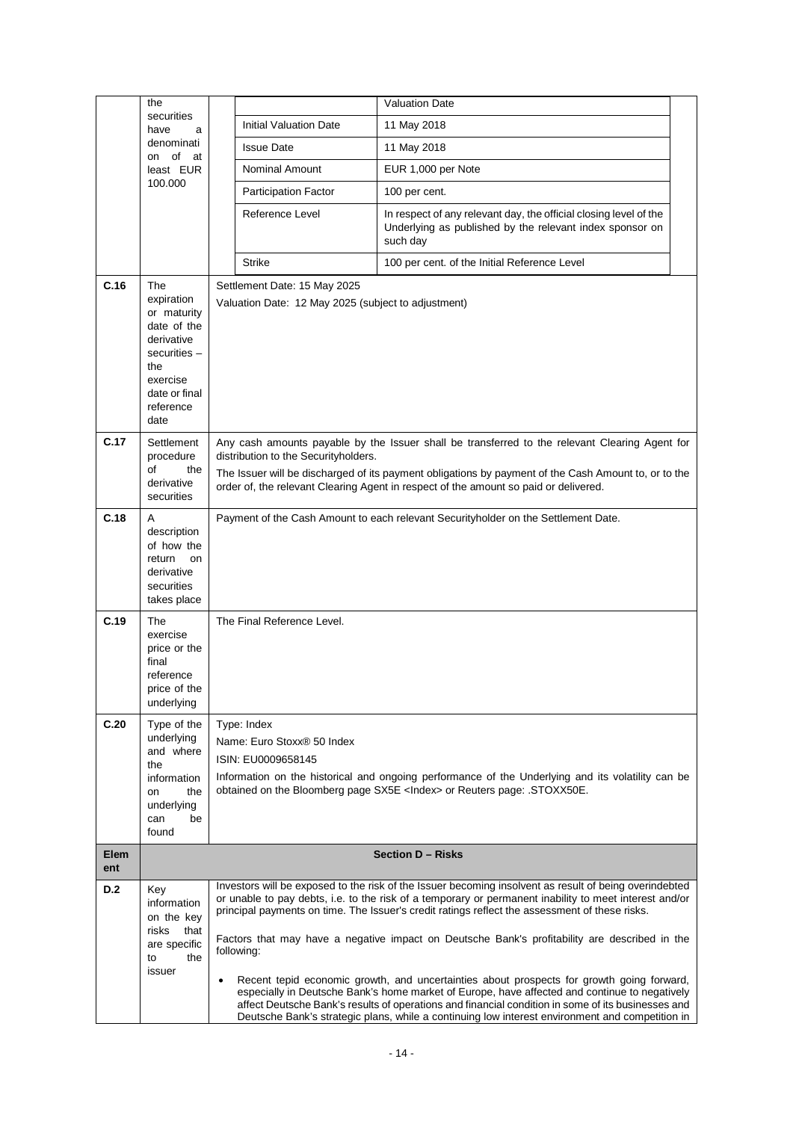|             | the                                                                                                                                      |                                                                                     | <b>Valuation Date</b>                                                                                                                                                                                                                                                                                                                                                                                                                                                                                                                                                                                                                                                                                                                                                                                                      |  |  |
|-------------|------------------------------------------------------------------------------------------------------------------------------------------|-------------------------------------------------------------------------------------|----------------------------------------------------------------------------------------------------------------------------------------------------------------------------------------------------------------------------------------------------------------------------------------------------------------------------------------------------------------------------------------------------------------------------------------------------------------------------------------------------------------------------------------------------------------------------------------------------------------------------------------------------------------------------------------------------------------------------------------------------------------------------------------------------------------------------|--|--|
|             | securities<br>have<br>a                                                                                                                  | <b>Initial Valuation Date</b>                                                       | 11 May 2018                                                                                                                                                                                                                                                                                                                                                                                                                                                                                                                                                                                                                                                                                                                                                                                                                |  |  |
|             | denominati<br>on of at                                                                                                                   | <b>Issue Date</b>                                                                   | 11 May 2018                                                                                                                                                                                                                                                                                                                                                                                                                                                                                                                                                                                                                                                                                                                                                                                                                |  |  |
|             | least EUR                                                                                                                                | Nominal Amount                                                                      | EUR 1,000 per Note                                                                                                                                                                                                                                                                                                                                                                                                                                                                                                                                                                                                                                                                                                                                                                                                         |  |  |
|             | 100.000                                                                                                                                  | Participation Factor                                                                | 100 per cent.                                                                                                                                                                                                                                                                                                                                                                                                                                                                                                                                                                                                                                                                                                                                                                                                              |  |  |
|             |                                                                                                                                          | Reference Level                                                                     | In respect of any relevant day, the official closing level of the<br>Underlying as published by the relevant index sponsor on<br>such day                                                                                                                                                                                                                                                                                                                                                                                                                                                                                                                                                                                                                                                                                  |  |  |
|             |                                                                                                                                          | <b>Strike</b>                                                                       | 100 per cent. of the Initial Reference Level                                                                                                                                                                                                                                                                                                                                                                                                                                                                                                                                                                                                                                                                                                                                                                               |  |  |
| C.16        | The<br>expiration<br>or maturity<br>date of the<br>derivative<br>securities $-$<br>the<br>exercise<br>date or final<br>reference<br>date | Settlement Date: 15 May 2025<br>Valuation Date: 12 May 2025 (subject to adjustment) |                                                                                                                                                                                                                                                                                                                                                                                                                                                                                                                                                                                                                                                                                                                                                                                                                            |  |  |
| C.17        | Settlement<br>procedure<br>οf<br>the<br>derivative<br>securities                                                                         |                                                                                     | Any cash amounts payable by the Issuer shall be transferred to the relevant Clearing Agent for<br>distribution to the Securityholders.<br>The Issuer will be discharged of its payment obligations by payment of the Cash Amount to, or to the<br>order of, the relevant Clearing Agent in respect of the amount so paid or delivered.                                                                                                                                                                                                                                                                                                                                                                                                                                                                                     |  |  |
| C.18        | A<br>description<br>of how the<br>return<br>on<br>derivative<br>securities<br>takes place                                                |                                                                                     | Payment of the Cash Amount to each relevant Securityholder on the Settlement Date.                                                                                                                                                                                                                                                                                                                                                                                                                                                                                                                                                                                                                                                                                                                                         |  |  |
| C.19        | The<br>exercise<br>price or the<br>final<br>reference<br>price of the<br>underlying                                                      | The Final Reference Level.                                                          |                                                                                                                                                                                                                                                                                                                                                                                                                                                                                                                                                                                                                                                                                                                                                                                                                            |  |  |
| C.20        | Type of the<br>underlying<br>and where<br>the<br>information<br>the<br>on<br>underlying<br>be<br>can<br>found                            | Type: Index<br>Name: Euro Stoxx® 50 Index<br>ISIN: EU0009658145                     | Information on the historical and ongoing performance of the Underlying and its volatility can be<br>obtained on the Bloomberg page SX5E <lndex> or Reuters page: .STOXX50E.</lndex>                                                                                                                                                                                                                                                                                                                                                                                                                                                                                                                                                                                                                                       |  |  |
| Elem<br>ent |                                                                                                                                          | <b>Section D - Risks</b>                                                            |                                                                                                                                                                                                                                                                                                                                                                                                                                                                                                                                                                                                                                                                                                                                                                                                                            |  |  |
| D.2         | Key<br>information<br>on the key<br>risks<br>that<br>are specific<br>the<br>to<br>issuer                                                 | following:                                                                          | Investors will be exposed to the risk of the Issuer becoming insolvent as result of being overindebted<br>or unable to pay debts, i.e. to the risk of a temporary or permanent inability to meet interest and/or<br>principal payments on time. The Issuer's credit ratings reflect the assessment of these risks.<br>Factors that may have a negative impact on Deutsche Bank's profitability are described in the<br>Recent tepid economic growth, and uncertainties about prospects for growth going forward,<br>especially in Deutsche Bank's home market of Europe, have affected and continue to negatively<br>affect Deutsche Bank's results of operations and financial condition in some of its businesses and<br>Deutsche Bank's strategic plans, while a continuing low interest environment and competition in |  |  |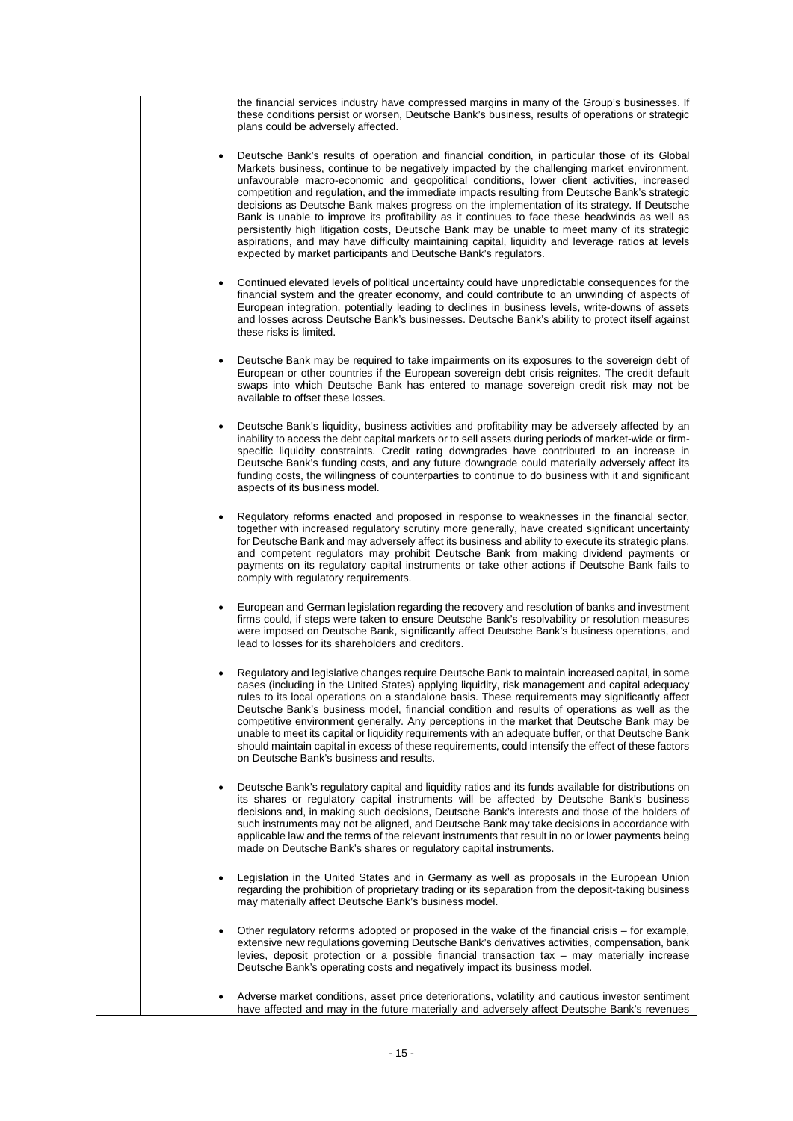|  | the financial services industry have compressed margins in many of the Group's businesses. If<br>these conditions persist or worsen, Deutsche Bank's business, results of operations or strategic<br>plans could be adversely affected.                                                                                                                                                                                                                                                                                                                                                                                                                                                                                                                                                                                                                                    |
|--|----------------------------------------------------------------------------------------------------------------------------------------------------------------------------------------------------------------------------------------------------------------------------------------------------------------------------------------------------------------------------------------------------------------------------------------------------------------------------------------------------------------------------------------------------------------------------------------------------------------------------------------------------------------------------------------------------------------------------------------------------------------------------------------------------------------------------------------------------------------------------|
|  | Deutsche Bank's results of operation and financial condition, in particular those of its Global<br>Markets business, continue to be negatively impacted by the challenging market environment,<br>unfavourable macro-economic and geopolitical conditions, lower client activities, increased<br>competition and regulation, and the immediate impacts resulting from Deutsche Bank's strategic<br>decisions as Deutsche Bank makes progress on the implementation of its strategy. If Deutsche<br>Bank is unable to improve its profitability as it continues to face these headwinds as well as<br>persistently high litigation costs, Deutsche Bank may be unable to meet many of its strategic<br>aspirations, and may have difficulty maintaining capital, liquidity and leverage ratios at levels<br>expected by market participants and Deutsche Bank's regulators. |
|  | Continued elevated levels of political uncertainty could have unpredictable consequences for the<br>financial system and the greater economy, and could contribute to an unwinding of aspects of<br>European integration, potentially leading to declines in business levels, write-downs of assets<br>and losses across Deutsche Bank's businesses. Deutsche Bank's ability to protect itself against<br>these risks is limited.                                                                                                                                                                                                                                                                                                                                                                                                                                          |
|  | Deutsche Bank may be required to take impairments on its exposures to the sovereign debt of<br>European or other countries if the European sovereign debt crisis reignites. The credit default<br>swaps into which Deutsche Bank has entered to manage sovereign credit risk may not be<br>available to offset these losses.                                                                                                                                                                                                                                                                                                                                                                                                                                                                                                                                               |
|  | Deutsche Bank's liquidity, business activities and profitability may be adversely affected by an<br>inability to access the debt capital markets or to sell assets during periods of market-wide or firm-<br>specific liquidity constraints. Credit rating downgrades have contributed to an increase in<br>Deutsche Bank's funding costs, and any future downgrade could materially adversely affect its<br>funding costs, the willingness of counterparties to continue to do business with it and significant<br>aspects of its business model.                                                                                                                                                                                                                                                                                                                         |
|  | Regulatory reforms enacted and proposed in response to weaknesses in the financial sector,<br>together with increased regulatory scrutiny more generally, have created significant uncertainty<br>for Deutsche Bank and may adversely affect its business and ability to execute its strategic plans,<br>and competent regulators may prohibit Deutsche Bank from making dividend payments or<br>payments on its regulatory capital instruments or take other actions if Deutsche Bank fails to<br>comply with regulatory requirements.                                                                                                                                                                                                                                                                                                                                    |
|  | European and German legislation regarding the recovery and resolution of banks and investment<br>firms could, if steps were taken to ensure Deutsche Bank's resolvability or resolution measures<br>were imposed on Deutsche Bank, significantly affect Deutsche Bank's business operations, and<br>lead to losses for its shareholders and creditors.                                                                                                                                                                                                                                                                                                                                                                                                                                                                                                                     |
|  | Regulatory and legislative changes require Deutsche Bank to maintain increased capital, in some<br>cases (including in the United States) applying liquidity, risk management and capital adequacy<br>rules to its local operations on a standalone basis. These requirements may significantly affect<br>Deutsche Bank's business model, financial condition and results of operations as well as the<br>competitive environment generally. Any perceptions in the market that Deutsche Bank may be<br>unable to meet its capital or liquidity requirements with an adequate buffer, or that Deutsche Bank<br>should maintain capital in excess of these requirements, could intensify the effect of these factors<br>on Deutsche Bank's business and results.                                                                                                            |
|  | Deutsche Bank's regulatory capital and liquidity ratios and its funds available for distributions on<br>its shares or regulatory capital instruments will be affected by Deutsche Bank's business<br>decisions and, in making such decisions, Deutsche Bank's interests and those of the holders of<br>such instruments may not be aligned, and Deutsche Bank may take decisions in accordance with<br>applicable law and the terms of the relevant instruments that result in no or lower payments being<br>made on Deutsche Bank's shares or regulatory capital instruments.                                                                                                                                                                                                                                                                                             |
|  | Legislation in the United States and in Germany as well as proposals in the European Union<br>regarding the prohibition of proprietary trading or its separation from the deposit-taking business<br>may materially affect Deutsche Bank's business model.                                                                                                                                                                                                                                                                                                                                                                                                                                                                                                                                                                                                                 |
|  | Other regulatory reforms adopted or proposed in the wake of the financial crisis – for example,<br>extensive new regulations governing Deutsche Bank's derivatives activities, compensation, bank<br>levies, deposit protection or a possible financial transaction $tax - may$ materially increase<br>Deutsche Bank's operating costs and negatively impact its business model.                                                                                                                                                                                                                                                                                                                                                                                                                                                                                           |
|  | Adverse market conditions, asset price deteriorations, volatility and cautious investor sentiment<br>have affected and may in the future materially and adversely affect Deutsche Bank's revenues                                                                                                                                                                                                                                                                                                                                                                                                                                                                                                                                                                                                                                                                          |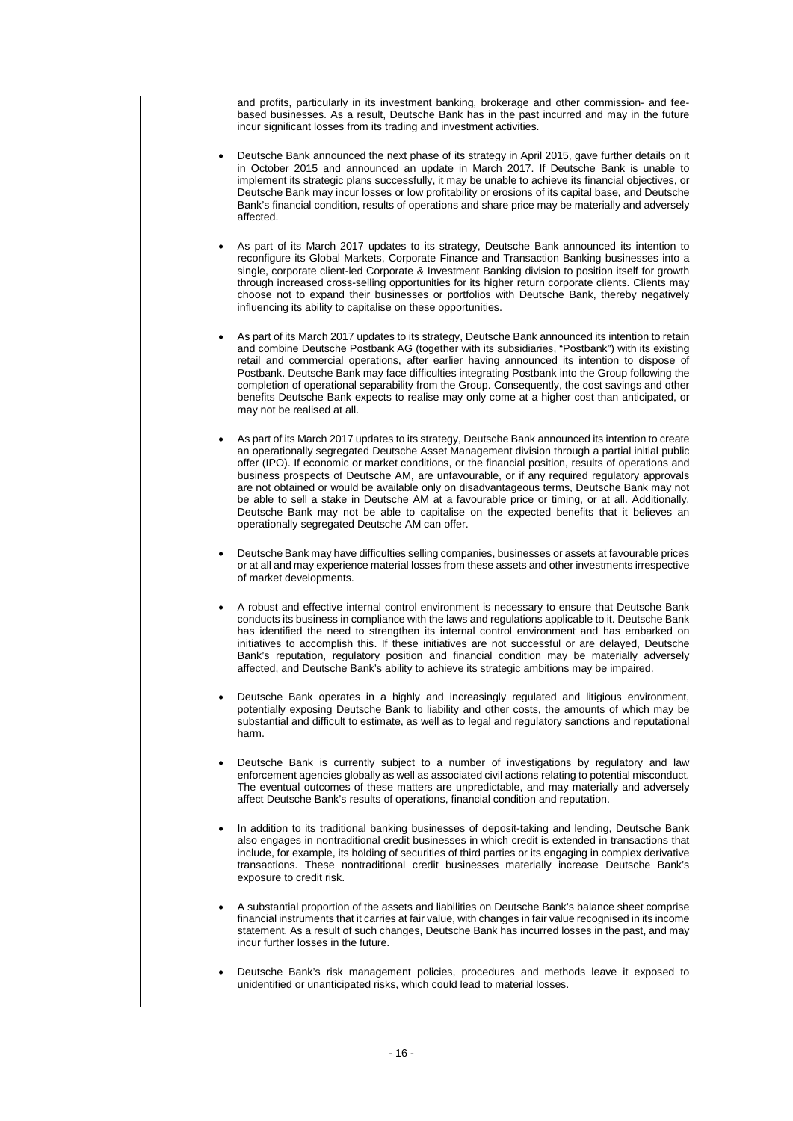|  | and profits, particularly in its investment banking, brokerage and other commission- and fee-<br>based businesses. As a result, Deutsche Bank has in the past incurred and may in the future                                                                                                                                                                                                                                                                                                                                                                                                                                                                                                                                                                   |
|--|----------------------------------------------------------------------------------------------------------------------------------------------------------------------------------------------------------------------------------------------------------------------------------------------------------------------------------------------------------------------------------------------------------------------------------------------------------------------------------------------------------------------------------------------------------------------------------------------------------------------------------------------------------------------------------------------------------------------------------------------------------------|
|  | incur significant losses from its trading and investment activities.                                                                                                                                                                                                                                                                                                                                                                                                                                                                                                                                                                                                                                                                                           |
|  | Deutsche Bank announced the next phase of its strategy in April 2015, gave further details on it<br>in October 2015 and announced an update in March 2017. If Deutsche Bank is unable to<br>implement its strategic plans successfully, it may be unable to achieve its financial objectives, or<br>Deutsche Bank may incur losses or low profitability or erosions of its capital base, and Deutsche<br>Bank's financial condition, results of operations and share price may be materially and adversely<br>affected.                                                                                                                                                                                                                                        |
|  | As part of its March 2017 updates to its strategy, Deutsche Bank announced its intention to<br>reconfigure its Global Markets, Corporate Finance and Transaction Banking businesses into a<br>single, corporate client-led Corporate & Investment Banking division to position itself for growth<br>through increased cross-selling opportunities for its higher return corporate clients. Clients may<br>choose not to expand their businesses or portfolios with Deutsche Bank, thereby negatively<br>influencing its ability to capitalise on these opportunities.                                                                                                                                                                                          |
|  | As part of its March 2017 updates to its strategy, Deutsche Bank announced its intention to retain<br>and combine Deutsche Postbank AG (together with its subsidiaries, "Postbank") with its existing<br>retail and commercial operations, after earlier having announced its intention to dispose of<br>Postbank. Deutsche Bank may face difficulties integrating Postbank into the Group following the<br>completion of operational separability from the Group. Consequently, the cost savings and other<br>benefits Deutsche Bank expects to realise may only come at a higher cost than anticipated, or<br>may not be realised at all.                                                                                                                    |
|  | As part of its March 2017 updates to its strategy, Deutsche Bank announced its intention to create<br>an operationally segregated Deutsche Asset Management division through a partial initial public<br>offer (IPO). If economic or market conditions, or the financial position, results of operations and<br>business prospects of Deutsche AM, are unfavourable, or if any required regulatory approvals<br>are not obtained or would be available only on disadvantageous terms, Deutsche Bank may not<br>be able to sell a stake in Deutsche AM at a favourable price or timing, or at all. Additionally,<br>Deutsche Bank may not be able to capitalise on the expected benefits that it believes an<br>operationally segregated Deutsche AM can offer. |
|  | Deutsche Bank may have difficulties selling companies, businesses or assets at favourable prices<br>or at all and may experience material losses from these assets and other investments irrespective<br>of market developments.                                                                                                                                                                                                                                                                                                                                                                                                                                                                                                                               |
|  | A robust and effective internal control environment is necessary to ensure that Deutsche Bank<br>٠<br>conducts its business in compliance with the laws and regulations applicable to it. Deutsche Bank<br>has identified the need to strengthen its internal control environment and has embarked on<br>initiatives to accomplish this. If these initiatives are not successful or are delayed, Deutsche<br>Bank's reputation, regulatory position and financial condition may be materially adversely<br>affected, and Deutsche Bank's ability to achieve its strategic ambitions may be impaired.                                                                                                                                                           |
|  | Deutsche Bank operates in a highly and increasingly regulated and litigious environment,<br>potentially exposing Deutsche Bank to liability and other costs, the amounts of which may be<br>substantial and difficult to estimate, as well as to legal and regulatory sanctions and reputational<br>harm.                                                                                                                                                                                                                                                                                                                                                                                                                                                      |
|  | Deutsche Bank is currently subject to a number of investigations by regulatory and law<br>enforcement agencies globally as well as associated civil actions relating to potential misconduct.<br>The eventual outcomes of these matters are unpredictable, and may materially and adversely<br>affect Deutsche Bank's results of operations, financial condition and reputation.                                                                                                                                                                                                                                                                                                                                                                               |
|  | In addition to its traditional banking businesses of deposit-taking and lending, Deutsche Bank<br>also engages in nontraditional credit businesses in which credit is extended in transactions that<br>include, for example, its holding of securities of third parties or its engaging in complex derivative<br>transactions. These nontraditional credit businesses materially increase Deutsche Bank's<br>exposure to credit risk.                                                                                                                                                                                                                                                                                                                          |
|  | A substantial proportion of the assets and liabilities on Deutsche Bank's balance sheet comprise<br>financial instruments that it carries at fair value, with changes in fair value recognised in its income<br>statement. As a result of such changes, Deutsche Bank has incurred losses in the past, and may<br>incur further losses in the future.                                                                                                                                                                                                                                                                                                                                                                                                          |
|  | Deutsche Bank's risk management policies, procedures and methods leave it exposed to<br>unidentified or unanticipated risks, which could lead to material losses.                                                                                                                                                                                                                                                                                                                                                                                                                                                                                                                                                                                              |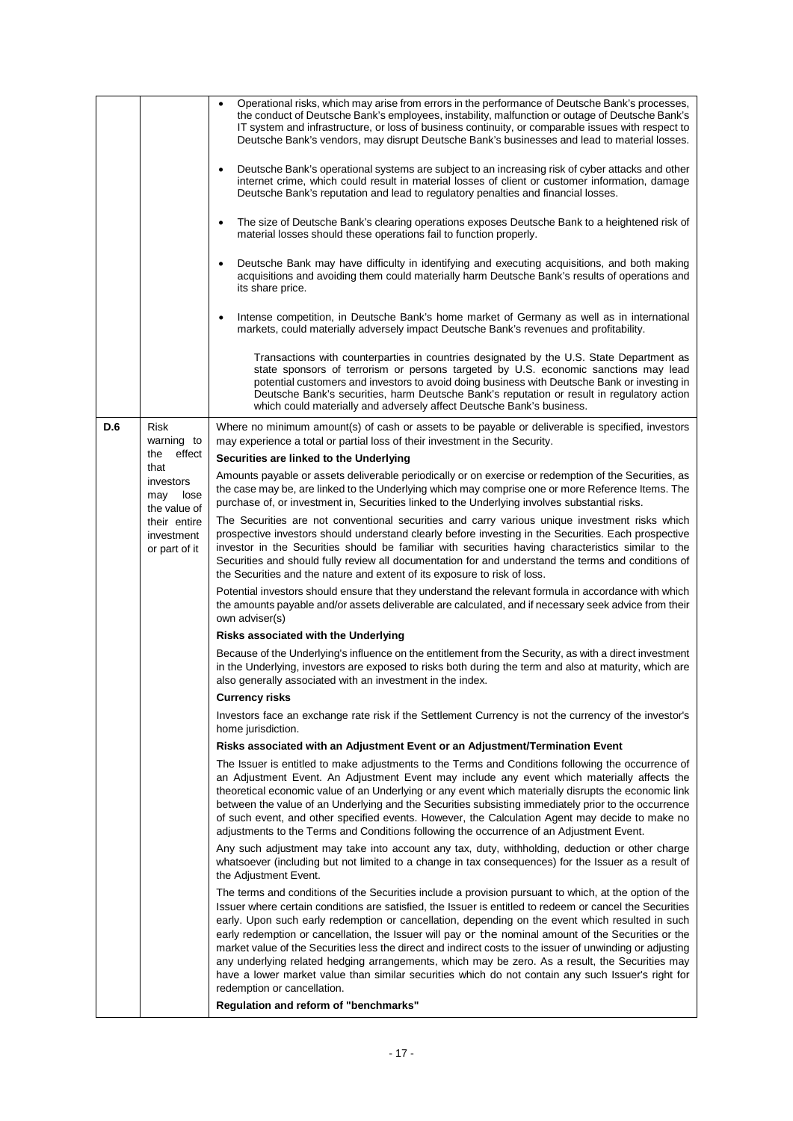|     |                                                                                                                                               | Operational risks, which may arise from errors in the performance of Deutsche Bank's processes,<br>$\bullet$<br>the conduct of Deutsche Bank's employees, instability, malfunction or outage of Deutsche Bank's<br>IT system and infrastructure, or loss of business continuity, or comparable issues with respect to<br>Deutsche Bank's vendors, may disrupt Deutsche Bank's businesses and lead to material losses.<br>Deutsche Bank's operational systems are subject to an increasing risk of cyber attacks and other<br>$\bullet$<br>internet crime, which could result in material losses of client or customer information, damage<br>Deutsche Bank's reputation and lead to regulatory penalties and financial losses.<br>The size of Deutsche Bank's clearing operations exposes Deutsche Bank to a heightened risk of<br>$\bullet$<br>material losses should these operations fail to function properly.<br>Deutsche Bank may have difficulty in identifying and executing acquisitions, and both making |
|-----|-----------------------------------------------------------------------------------------------------------------------------------------------|--------------------------------------------------------------------------------------------------------------------------------------------------------------------------------------------------------------------------------------------------------------------------------------------------------------------------------------------------------------------------------------------------------------------------------------------------------------------------------------------------------------------------------------------------------------------------------------------------------------------------------------------------------------------------------------------------------------------------------------------------------------------------------------------------------------------------------------------------------------------------------------------------------------------------------------------------------------------------------------------------------------------|
|     |                                                                                                                                               | $\bullet$<br>acquisitions and avoiding them could materially harm Deutsche Bank's results of operations and<br>its share price.<br>Intense competition, in Deutsche Bank's home market of Germany as well as in international<br>$\bullet$<br>markets, could materially adversely impact Deutsche Bank's revenues and profitability.                                                                                                                                                                                                                                                                                                                                                                                                                                                                                                                                                                                                                                                                               |
|     |                                                                                                                                               | Transactions with counterparties in countries designated by the U.S. State Department as<br>state sponsors of terrorism or persons targeted by U.S. economic sanctions may lead<br>potential customers and investors to avoid doing business with Deutsche Bank or investing in<br>Deutsche Bank's securities, harm Deutsche Bank's reputation or result in regulatory action<br>which could materially and adversely affect Deutsche Bank's business.                                                                                                                                                                                                                                                                                                                                                                                                                                                                                                                                                             |
| D.6 | <b>Risk</b><br>warning to<br>effect<br>the<br>that<br>investors<br>may<br>lose<br>the value of<br>their entire<br>investment<br>or part of it | Where no minimum amount(s) of cash or assets to be payable or deliverable is specified, investors<br>may experience a total or partial loss of their investment in the Security.<br>Securities are linked to the Underlying                                                                                                                                                                                                                                                                                                                                                                                                                                                                                                                                                                                                                                                                                                                                                                                        |
|     |                                                                                                                                               | Amounts payable or assets deliverable periodically or on exercise or redemption of the Securities, as<br>the case may be, are linked to the Underlying which may comprise one or more Reference Items. The<br>purchase of, or investment in, Securities linked to the Underlying involves substantial risks.                                                                                                                                                                                                                                                                                                                                                                                                                                                                                                                                                                                                                                                                                                       |
|     |                                                                                                                                               | The Securities are not conventional securities and carry various unique investment risks which<br>prospective investors should understand clearly before investing in the Securities. Each prospective<br>investor in the Securities should be familiar with securities having characteristics similar to the<br>Securities and should fully review all documentation for and understand the terms and conditions of<br>the Securities and the nature and extent of its exposure to risk of loss.                                                                                                                                                                                                                                                                                                                                                                                                                                                                                                                  |
|     |                                                                                                                                               | Potential investors should ensure that they understand the relevant formula in accordance with which<br>the amounts payable and/or assets deliverable are calculated, and if necessary seek advice from their<br>own adviser(s)                                                                                                                                                                                                                                                                                                                                                                                                                                                                                                                                                                                                                                                                                                                                                                                    |
|     |                                                                                                                                               | Risks associated with the Underlying                                                                                                                                                                                                                                                                                                                                                                                                                                                                                                                                                                                                                                                                                                                                                                                                                                                                                                                                                                               |
|     |                                                                                                                                               | Because of the Underlying's influence on the entitlement from the Security, as with a direct investment<br>in the Underlying, investors are exposed to risks both during the term and also at maturity, which are<br>also generally associated with an investment in the index.                                                                                                                                                                                                                                                                                                                                                                                                                                                                                                                                                                                                                                                                                                                                    |
|     |                                                                                                                                               | <b>Currency risks</b>                                                                                                                                                                                                                                                                                                                                                                                                                                                                                                                                                                                                                                                                                                                                                                                                                                                                                                                                                                                              |
|     |                                                                                                                                               | Investors face an exchange rate risk if the Settlement Currency is not the currency of the investor's<br>home jurisdiction.                                                                                                                                                                                                                                                                                                                                                                                                                                                                                                                                                                                                                                                                                                                                                                                                                                                                                        |
|     |                                                                                                                                               | Risks associated with an Adjustment Event or an Adjustment/Termination Event                                                                                                                                                                                                                                                                                                                                                                                                                                                                                                                                                                                                                                                                                                                                                                                                                                                                                                                                       |
|     |                                                                                                                                               | The Issuer is entitled to make adjustments to the Terms and Conditions following the occurrence of<br>an Adjustment Event. An Adjustment Event may include any event which materially affects the<br>theoretical economic value of an Underlying or any event which materially disrupts the economic link<br>between the value of an Underlying and the Securities subsisting immediately prior to the occurrence<br>of such event, and other specified events. However, the Calculation Agent may decide to make no<br>adjustments to the Terms and Conditions following the occurrence of an Adjustment Event.                                                                                                                                                                                                                                                                                                                                                                                                   |
|     |                                                                                                                                               | Any such adjustment may take into account any tax, duty, withholding, deduction or other charge<br>whatsoever (including but not limited to a change in tax consequences) for the Issuer as a result of<br>the Adjustment Event.                                                                                                                                                                                                                                                                                                                                                                                                                                                                                                                                                                                                                                                                                                                                                                                   |
|     |                                                                                                                                               | The terms and conditions of the Securities include a provision pursuant to which, at the option of the<br>Issuer where certain conditions are satisfied, the Issuer is entitled to redeem or cancel the Securities<br>early. Upon such early redemption or cancellation, depending on the event which resulted in such<br>early redemption or cancellation, the Issuer will pay or the nominal amount of the Securities or the<br>market value of the Securities less the direct and indirect costs to the issuer of unwinding or adjusting<br>any underlying related hedging arrangements, which may be zero. As a result, the Securities may<br>have a lower market value than similar securities which do not contain any such Issuer's right for<br>redemption or cancellation.                                                                                                                                                                                                                                |
|     |                                                                                                                                               | Regulation and reform of "benchmarks"                                                                                                                                                                                                                                                                                                                                                                                                                                                                                                                                                                                                                                                                                                                                                                                                                                                                                                                                                                              |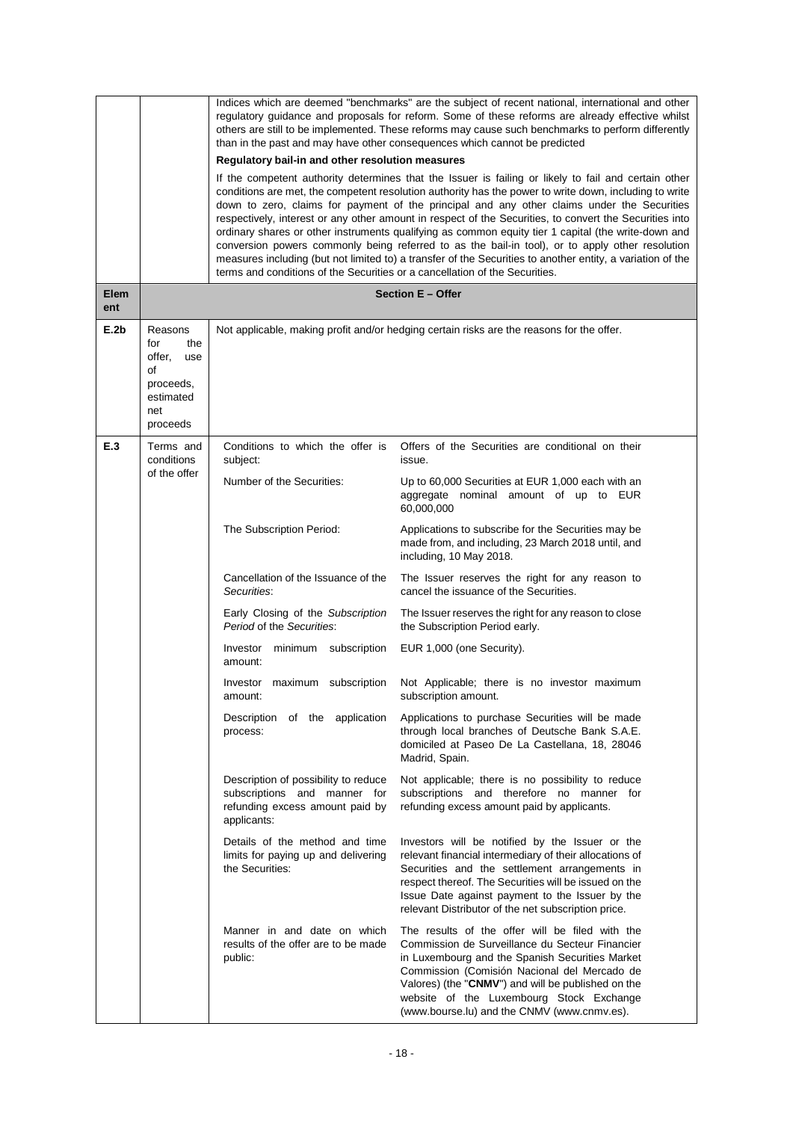|                    |                                                                                           | Indices which are deemed "benchmarks" are the subject of recent national, international and other<br>regulatory guidance and proposals for reform. Some of these reforms are already effective whilst<br>others are still to be implemented. These reforms may cause such benchmarks to perform differently<br>than in the past and may have other consequences which cannot be predicted<br>Regulatory bail-in and other resolution measures<br>If the competent authority determines that the Issuer is failing or likely to fail and certain other<br>conditions are met, the competent resolution authority has the power to write down, including to write<br>down to zero, claims for payment of the principal and any other claims under the Securities<br>respectively, interest or any other amount in respect of the Securities, to convert the Securities into<br>ordinary shares or other instruments qualifying as common equity tier 1 capital (the write-down and<br>conversion powers commonly being referred to as the bail-in tool), or to apply other resolution<br>measures including (but not limited to) a transfer of the Securities to another entity, a variation of the<br>terms and conditions of the Securities or a cancellation of the Securities. |                                                                                                                                                                                                                                                                                                                                                        |  |  |
|--------------------|-------------------------------------------------------------------------------------------|----------------------------------------------------------------------------------------------------------------------------------------------------------------------------------------------------------------------------------------------------------------------------------------------------------------------------------------------------------------------------------------------------------------------------------------------------------------------------------------------------------------------------------------------------------------------------------------------------------------------------------------------------------------------------------------------------------------------------------------------------------------------------------------------------------------------------------------------------------------------------------------------------------------------------------------------------------------------------------------------------------------------------------------------------------------------------------------------------------------------------------------------------------------------------------------------------------------------------------------------------------------------------------|--------------------------------------------------------------------------------------------------------------------------------------------------------------------------------------------------------------------------------------------------------------------------------------------------------------------------------------------------------|--|--|
| <b>Elem</b><br>ent |                                                                                           | Section E - Offer                                                                                                                                                                                                                                                                                                                                                                                                                                                                                                                                                                                                                                                                                                                                                                                                                                                                                                                                                                                                                                                                                                                                                                                                                                                                |                                                                                                                                                                                                                                                                                                                                                        |  |  |
| E.2b               | Reasons<br>for<br>the<br>offer,<br>use<br>of<br>proceeds,<br>estimated<br>net<br>proceeds |                                                                                                                                                                                                                                                                                                                                                                                                                                                                                                                                                                                                                                                                                                                                                                                                                                                                                                                                                                                                                                                                                                                                                                                                                                                                                  | Not applicable, making profit and/or hedging certain risks are the reasons for the offer.                                                                                                                                                                                                                                                              |  |  |
| E.3                | Terms and<br>conditions<br>of the offer                                                   | Conditions to which the offer is<br>subject:<br>Number of the Securities:                                                                                                                                                                                                                                                                                                                                                                                                                                                                                                                                                                                                                                                                                                                                                                                                                                                                                                                                                                                                                                                                                                                                                                                                        | Offers of the Securities are conditional on their<br>issue.<br>Up to 60,000 Securities at EUR 1,000 each with an                                                                                                                                                                                                                                       |  |  |
|                    |                                                                                           |                                                                                                                                                                                                                                                                                                                                                                                                                                                                                                                                                                                                                                                                                                                                                                                                                                                                                                                                                                                                                                                                                                                                                                                                                                                                                  | aggregate nominal amount of up to EUR<br>60,000,000                                                                                                                                                                                                                                                                                                    |  |  |
|                    |                                                                                           | The Subscription Period:                                                                                                                                                                                                                                                                                                                                                                                                                                                                                                                                                                                                                                                                                                                                                                                                                                                                                                                                                                                                                                                                                                                                                                                                                                                         | Applications to subscribe for the Securities may be<br>made from, and including, 23 March 2018 until, and<br>including, 10 May 2018.                                                                                                                                                                                                                   |  |  |
|                    |                                                                                           | Cancellation of the Issuance of the<br>Securities:                                                                                                                                                                                                                                                                                                                                                                                                                                                                                                                                                                                                                                                                                                                                                                                                                                                                                                                                                                                                                                                                                                                                                                                                                               | The Issuer reserves the right for any reason to<br>cancel the issuance of the Securities.                                                                                                                                                                                                                                                              |  |  |
|                    |                                                                                           | Early Closing of the Subscription<br>Period of the Securities:                                                                                                                                                                                                                                                                                                                                                                                                                                                                                                                                                                                                                                                                                                                                                                                                                                                                                                                                                                                                                                                                                                                                                                                                                   | The Issuer reserves the right for any reason to close<br>the Subscription Period early.                                                                                                                                                                                                                                                                |  |  |
|                    |                                                                                           | minimum subscription<br>Investor<br>amount:                                                                                                                                                                                                                                                                                                                                                                                                                                                                                                                                                                                                                                                                                                                                                                                                                                                                                                                                                                                                                                                                                                                                                                                                                                      | EUR 1,000 (one Security).                                                                                                                                                                                                                                                                                                                              |  |  |
|                    |                                                                                           | Investor maximum subscription<br>amount:                                                                                                                                                                                                                                                                                                                                                                                                                                                                                                                                                                                                                                                                                                                                                                                                                                                                                                                                                                                                                                                                                                                                                                                                                                         | Not Applicable; there is no investor maximum<br>subscription amount.                                                                                                                                                                                                                                                                                   |  |  |
|                    |                                                                                           | Description of the application<br>process:                                                                                                                                                                                                                                                                                                                                                                                                                                                                                                                                                                                                                                                                                                                                                                                                                                                                                                                                                                                                                                                                                                                                                                                                                                       | Applications to purchase Securities will be made<br>through local branches of Deutsche Bank S.A.E.<br>domiciled at Paseo De La Castellana, 18, 28046<br>Madrid, Spain.                                                                                                                                                                                 |  |  |
|                    |                                                                                           | Description of possibility to reduce<br>subscriptions and manner for<br>refunding excess amount paid by<br>applicants:                                                                                                                                                                                                                                                                                                                                                                                                                                                                                                                                                                                                                                                                                                                                                                                                                                                                                                                                                                                                                                                                                                                                                           | Not applicable; there is no possibility to reduce<br>subscriptions and therefore no manner for<br>refunding excess amount paid by applicants.                                                                                                                                                                                                          |  |  |
|                    |                                                                                           | Details of the method and time<br>limits for paying up and delivering<br>the Securities:                                                                                                                                                                                                                                                                                                                                                                                                                                                                                                                                                                                                                                                                                                                                                                                                                                                                                                                                                                                                                                                                                                                                                                                         | Investors will be notified by the Issuer or the<br>relevant financial intermediary of their allocations of<br>Securities and the settlement arrangements in<br>respect thereof. The Securities will be issued on the<br>Issue Date against payment to the Issuer by the<br>relevant Distributor of the net subscription price.                         |  |  |
|                    |                                                                                           | Manner in and date on which<br>results of the offer are to be made<br>public:                                                                                                                                                                                                                                                                                                                                                                                                                                                                                                                                                                                                                                                                                                                                                                                                                                                                                                                                                                                                                                                                                                                                                                                                    | The results of the offer will be filed with the<br>Commission de Surveillance du Secteur Financier<br>in Luxembourg and the Spanish Securities Market<br>Commission (Comisión Nacional del Mercado de<br>Valores) (the "CNMV") and will be published on the<br>website of the Luxembourg Stock Exchange<br>(www.bourse.lu) and the CNMV (www.cnmv.es). |  |  |